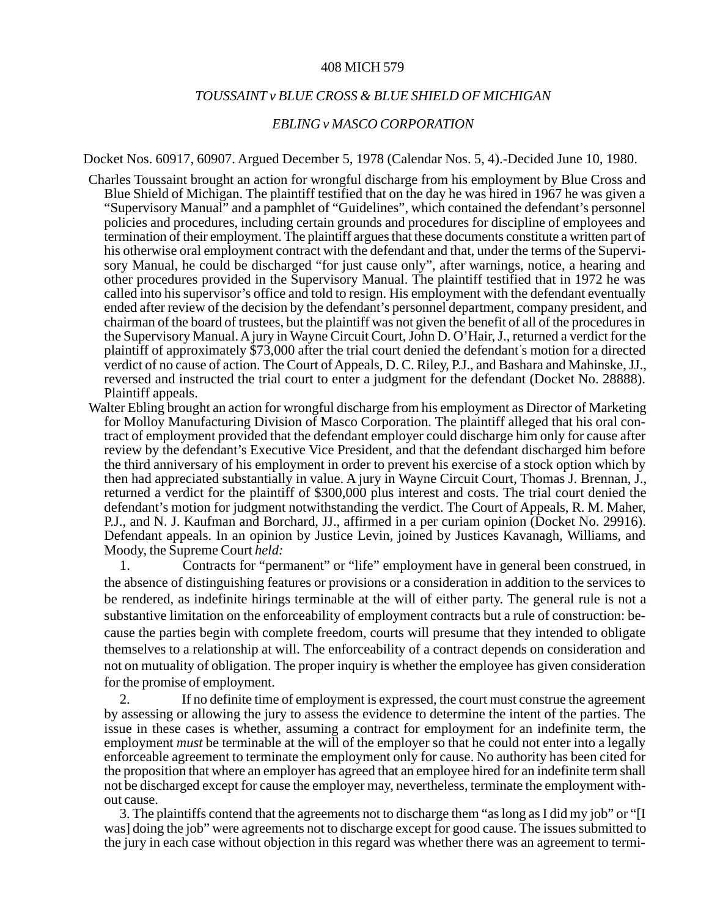#### 408 MICH 579

#### *TOUSSAINT v BLUE CROSS & BLUE SHIELD OF MICHIGAN*

#### *EBLING v MASCO CORPORATION*

Docket Nos. 60917, 60907. Argued December 5, 1978 (Calendar Nos. 5, 4).-Decided June 10, 1980.

- Charles Toussaint brought an action for wrongful discharge from his employment by Blue Cross and Blue Shield of Michigan. The plaintiff testified that on the day he was hired in 1967 he was given a "Supervisory Manual" and a pamphlet of "Guidelines", which contained the defendant's personnel policies and procedures, including certain grounds and procedures for discipline of employees and termination of their employment. The plaintiff argues that these documents constitute a written part of his otherwise oral employment contract with the defendant and that, under the terms of the Supervisory Manual, he could be discharged "for just cause only", after warnings, notice, a hearing and other procedures provided in the Supervisory Manual. The plaintiff testified that in 1972 he was called into his supervisor's office and told to resign. His employment with the defendant eventually ended after review of the decision by the defendant's personnel department, company president, and chairman of the board of trustees, but the plaintiff was not given the benefit of all of the procedures in the Supervisory Manual. A jury in Wayne Circuit Court, John D. O'Hair, J., returned a verdict for the plaintiff of approximately \$73,000 after the trial court denied the defendant' s motion for a directed verdict of no cause of action. The Court of Appeals, D. C. Riley, P.J., and Bashara and Mahinske, JJ., reversed and instructed the trial court to enter a judgment for the defendant (Docket No. 28888). Plaintiff appeals.
- Walter Ebling brought an action for wrongful discharge from his employment as Director of Marketing for Molloy Manufacturing Division of Masco Corporation. The plaintiff alleged that his oral contract of employment provided that the defendant employer could discharge him only for cause after review by the defendant's Executive Vice President, and that the defendant discharged him before the third anniversary of his employment in order to prevent his exercise of a stock option which by then had appreciated substantially in value. A jury in Wayne Circuit Court, Thomas J. Brennan, J., returned a verdict for the plaintiff of \$300,000 plus interest and costs. The trial court denied the defendant's motion for judgment notwithstanding the verdict. The Court of Appeals, R. M. Maher, P.J., and N. J. Kaufman and Borchard, JJ., affirmed in a per curiam opinion (Docket No. 29916). Defendant appeals. In an opinion by Justice Levin, joined by Justices Kavanagh, Williams, and Moody, the Supreme Court *held:*

1. Contracts for "permanent" or "life" employment have in general been construed, in the absence of distinguishing features or provisions or a consideration in addition to the services to be rendered, as indefinite hirings terminable at the will of either party. The general rule is not a substantive limitation on the enforceability of employment contracts but a rule of construction: because the parties begin with complete freedom, courts will presume that they intended to obligate themselves to a relationship at will. The enforceability of a contract depends on consideration and not on mutuality of obligation. The proper inquiry is whether the employee has given consideration for the promise of employment.

2. If no definite time of employment is expressed, the court must construe the agreement by assessing or allowing the jury to assess the evidence to determine the intent of the parties. The issue in these cases is whether, assuming a contract for employment for an indefinite term, the employment *must* be terminable at the will of the employer so that he could not enter into a legally enforceable agreement to terminate the employment only for cause. No authority has been cited for the proposition that where an employer has agreed that an employee hired for an indefinite term shall not be discharged except for cause the employer may, nevertheless, terminate the employment without cause.

3. The plaintiffs contend that the agreements not to discharge them "as long as I did my job" or "[I was] doing the job" were agreements not to discharge except for good cause. The issues submitted to the jury in each case without objection in this regard was whether there was an agreement to termi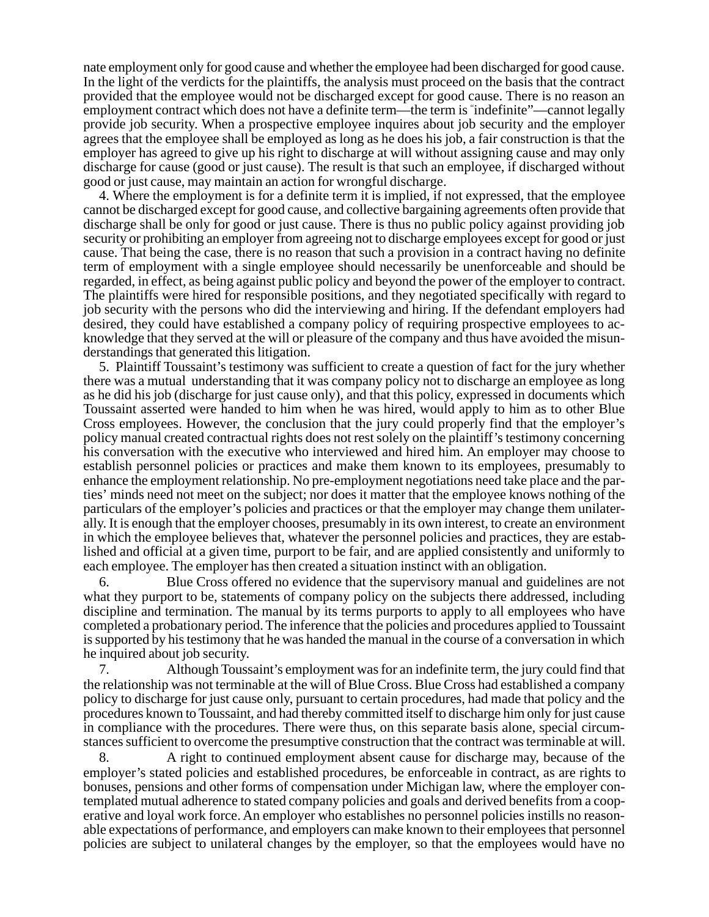nate employment only for good cause and whether the employee had been discharged for good cause. In the light of the verdicts for the plaintiffs, the analysis must proceed on the basis that the contract provided that the employee would not be discharged except for good cause. There is no reason an employment contract which does not have a definite term—the term is " indefinite"—cannot legally provide job security. When a prospective employee inquires about job security and the employer agrees that the employee shall be employed as long as he does his job, a fair construction is that the employer has agreed to give up his right to discharge at will without assigning cause and may only discharge for cause (good or just cause). The result is that such an employee, if discharged without good or just cause, may maintain an action for wrongful discharge.

4. Where the employment is for a definite term it is implied, if not expressed, that the employee cannot be discharged except for good cause, and collective bargaining agreements often provide that discharge shall be only for good or just cause. There is thus no public policy against providing job security or prohibiting an employer from agreeing not to discharge employees except for good or just cause. That being the case, there is no reason that such a provision in a contract having no definite term of employment with a single employee should necessarily be unenforceable and should be regarded, in effect, as being against public policy and beyond the power of the employer to contract. The plaintiffs were hired for responsible positions, and they negotiated specifically with regard to job security with the persons who did the interviewing and hiring. If the defendant employers had desired, they could have established a company policy of requiring prospective employees to acknowledge that they served at the will or pleasure of the company and thus have avoided the misunderstandings that generated this litigation.

5. Plaintiff Toussaint's testimony was sufficient to create a question of fact for the jury whether there was a mutual understanding that it was company policy not to discharge an employee as long as he did his job (discharge for just cause only), and that this policy, expressed in documents which Toussaint asserted were handed to him when he was hired, would apply to him as to other Blue Cross employees. However, the conclusion that the jury could properly find that the employer's policy manual created contractual rights does not rest solely on the plaintiff's testimony concerning his conversation with the executive who interviewed and hired him. An employer may choose to establish personnel policies or practices and make them known to its employees, presumably to enhance the employment relationship. No pre-employment negotiations need take place and the parties' minds need not meet on the subject; nor does it matter that the employee knows nothing of the particulars of the employer's policies and practices or that the employer may change them unilaterally. It is enough that the employer chooses, presumably in its own interest, to create an environment in which the employee believes that, whatever the personnel policies and practices, they are established and official at a given time, purport to be fair, and are applied consistently and uniformly to each employee. The employer has then created a situation instinct with an obligation.

6. Blue Cross offered no evidence that the supervisory manual and guidelines are not what they purport to be, statements of company policy on the subjects there addressed, including discipline and termination. The manual by its terms purports to apply to all employees who have completed a probationary period. The inference that the policies and procedures applied to Toussaint is supported by his testimony that he was handed the manual in the course of a conversation in which he inquired about job security.

7. Although Toussaint's employment was for an indefinite term, the jury could find that the relationship was not terminable at the will of Blue Cross. Blue Cross had established a company policy to discharge for just cause only, pursuant to certain procedures, had made that policy and the procedures known to Toussaint, and had thereby committed itself to discharge him only for just cause in compliance with the procedures. There were thus, on this separate basis alone, special circumstances sufficient to overcome the presumptive construction that the contract was terminable at will.

8. A right to continued employment absent cause for discharge may, because of the employer's stated policies and established procedures, be enforceable in contract, as are rights to bonuses, pensions and other forms of compensation under Michigan law, where the employer contemplated mutual adherence to stated company policies and goals and derived benefits from a cooperative and loyal work force. An employer who establishes no personnel policies instills no reasonable expectations of performance, and employers can make known to their employees that personnel policies are subject to unilateral changes by the employer, so that the employees would have no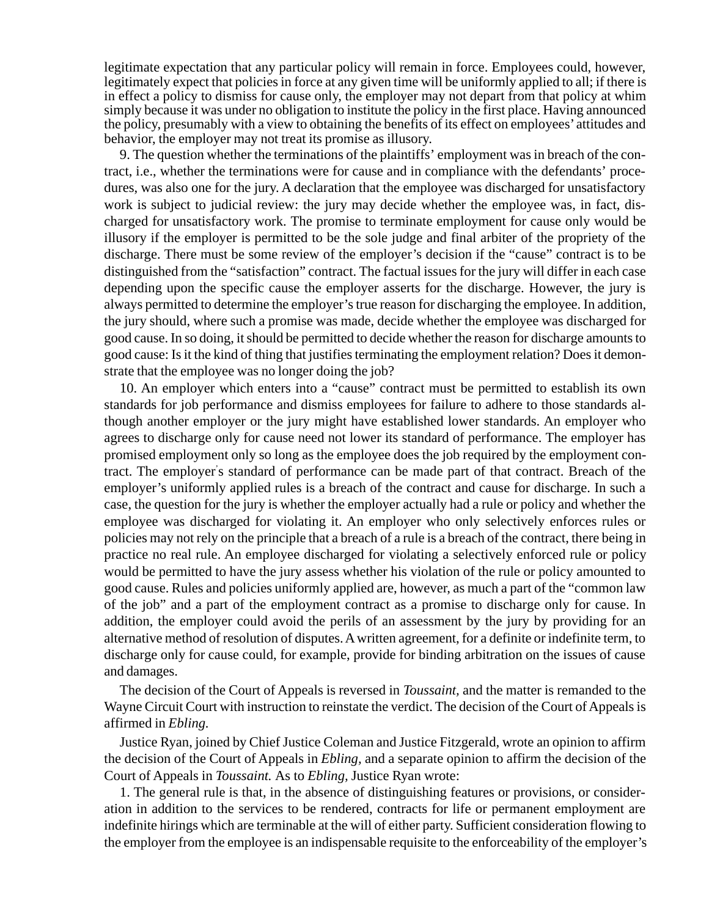legitimate expectation that any particular policy will remain in force. Employees could, however, legitimately expect that policies in force at any given time will be uniformly applied to all; if there is in effect a policy to dismiss for cause only, the employer may not depart from that policy at whim simply because it was under no obligation to institute the policy in the first place. Having announced the policy, presumably with a view to obtaining the benefits of its effect on employees' attitudes and behavior, the employer may not treat its promise as illusory.

9. The question whether the terminations of the plaintiffs' employment was in breach of the contract, i.e., whether the terminations were for cause and in compliance with the defendants' procedures, was also one for the jury. A declaration that the employee was discharged for unsatisfactory work is subject to judicial review: the jury may decide whether the employee was, in fact, discharged for unsatisfactory work. The promise to terminate employment for cause only would be illusory if the employer is permitted to be the sole judge and final arbiter of the propriety of the discharge. There must be some review of the employer's decision if the "cause" contract is to be distinguished from the "satisfaction" contract. The factual issues for the jury will differ in each case depending upon the specific cause the employer asserts for the discharge. However, the jury is always permitted to determine the employer's true reason for discharging the employee. In addition, the jury should, where such a promise was made, decide whether the employee was discharged for good cause. In so doing, it should be permitted to decide whether the reason for discharge amounts to good cause: Is it the kind of thing that justifies terminating the employment relation? Does it demonstrate that the employee was no longer doing the job?

10. An employer which enters into a "cause" contract must be permitted to establish its own standards for job performance and dismiss employees for failure to adhere to those standards although another employer or the jury might have established lower standards. An employer who agrees to discharge only for cause need not lower its standard of performance. The employer has promised employment only so long as the employee does the job required by the employment contract. The employer' s standard of performance can be made part of that contract. Breach of the employer's uniformly applied rules is a breach of the contract and cause for discharge. In such a case, the question for the jury is whether the employer actually had a rule or policy and whether the employee was discharged for violating it. An employer who only selectively enforces rules or policies may not rely on the principle that a breach of a rule is a breach of the contract, there being in practice no real rule. An employee discharged for violating a selectively enforced rule or policy would be permitted to have the jury assess whether his violation of the rule or policy amounted to good cause. Rules and policies uniformly applied are, however, as much a part of the "common law of the job" and a part of the employment contract as a promise to discharge only for cause. In addition, the employer could avoid the perils of an assessment by the jury by providing for an alternative method of resolution of disputes. A written agreement, for a definite or indefinite term, to discharge only for cause could, for example, provide for binding arbitration on the issues of cause and damages.

The decision of the Court of Appeals is reversed in *Toussaint,* and the matter is remanded to the Wayne Circuit Court with instruction to reinstate the verdict. The decision of the Court of Appeals is affirmed in *Ebling.*

Justice Ryan, joined by Chief Justice Coleman and Justice Fitzgerald, wrote an opinion to affirm the decision of the Court of Appeals in *Ebling,* and a separate opinion to affirm the decision of the Court of Appeals in *Toussaint.* As to *Ebling,* Justice Ryan wrote:

1. The general rule is that, in the absence of distinguishing features or provisions, or consideration in addition to the services to be rendered, contracts for life or permanent employment are indefinite hirings which are terminable at the will of either party. Sufficient consideration flowing to the employer from the employee is an indispensable requisite to the enforceability of the employer's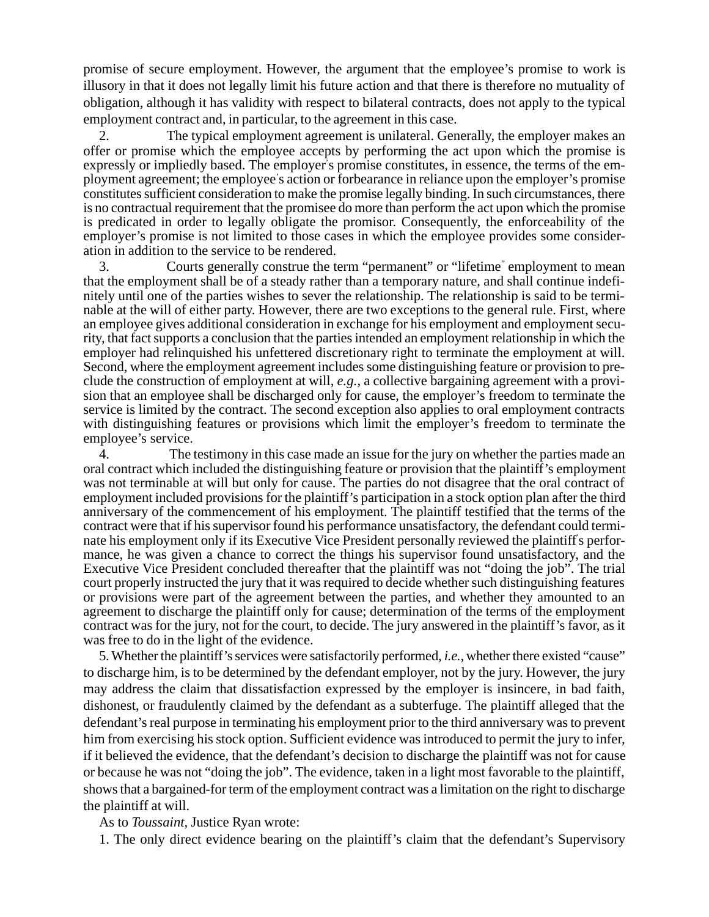promise of secure employment. However, the argument that the employee's promise to work is illusory in that it does not legally limit his future action and that there is therefore no mutuality of obligation, although it has validity with respect to bilateral contracts, does not apply to the typical employment contract and, in particular, to the agreement in this case.

2. The typical employment agreement is unilateral. Generally, the employer makes an offer or promise which the employee accepts by performing the act upon which the promise is expressly or impliedly based. The employer' s promise constitutes, in essence, the terms of the employment agreement; the employee' s action or forbearance in reliance upon the employer's promise constitutes sufficient consideration to make the promise legally binding. In such circumstances, there is no contractual requirement that the promisee do more than perform the act upon which the promise is predicated in order to legally obligate the promisor. Consequently, the enforceability of the employer's promise is not limited to those cases in which the employee provides some consideration in addition to the service to be rendered.

3. Courts generally construe the term "permanent" or "lifetime" employment to mean that the employment shall be of a steady rather than a temporary nature, and shall continue indefinitely until one of the parties wishes to sever the relationship. The relationship is said to be terminable at the will of either party. However, there are two exceptions to the general rule. First, where an employee gives additional consideration in exchange for his employment and employment security, that fact supports a conclusion that the parties intended an employment relationship in which the employer had relinquished his unfettered discretionary right to terminate the employment at will. Second, where the employment agreement includes some distinguishing feature or provision to preclude the construction of employment at will, *e.g.,* a collective bargaining agreement with a provision that an employee shall be discharged only for cause, the employer's freedom to terminate the service is limited by the contract. The second exception also applies to oral employment contracts with distinguishing features or provisions which limit the employer's freedom to terminate the employee's service.

4. The testimony in this case made an issue for the jury on whether the parties made an oral contract which included the distinguishing feature or provision that the plaintiff's employment was not terminable at will but only for cause. The parties do not disagree that the oral contract of employment included provisions for the plaintiff's participation in a stock option plan after the third anniversary of the commencement of his employment. The plaintiff testified that the terms of the contract were that if his supervisor found his performance unsatisfactory, the defendant could terminate his employment only if its Executive Vice President personally reviewed the plaintiff's performance, he was given a chance to correct the things his supervisor found unsatisfactory, and the Executive Vice President concluded thereafter that the plaintiff was not "doing the job". The trial court properly instructed the jury that it was required to decide whether such distinguishing features or provisions were part of the agreement between the parties, and whether they amounted to an agreement to discharge the plaintiff only for cause; determination of the terms of the employment contract was for the jury, not for the court, to decide. The jury answered in the plaintiff's favor, as it was free to do in the light of the evidence.

5. Whether the plaintiff's services were satisfactorily performed, *i.e.,* whether there existed "cause" to discharge him, is to be determined by the defendant employer, not by the jury. However, the jury may address the claim that dissatisfaction expressed by the employer is insincere, in bad faith, dishonest, or fraudulently claimed by the defendant as a subterfuge. The plaintiff alleged that the defendant's real purpose in terminating his employment prior to the third anniversary was to prevent him from exercising his stock option. Sufficient evidence was introduced to permit the jury to infer, if it believed the evidence, that the defendant's decision to discharge the plaintiff was not for cause or because he was not "doing the job". The evidence, taken in a light most favorable to the plaintiff, shows that a bargained-for term of the employment contract was a limitation on the right to discharge the plaintiff at will.

As to *Toussaint,* Justice Ryan wrote:

1. The only direct evidence bearing on the plaintiff's claim that the defendant's Supervisory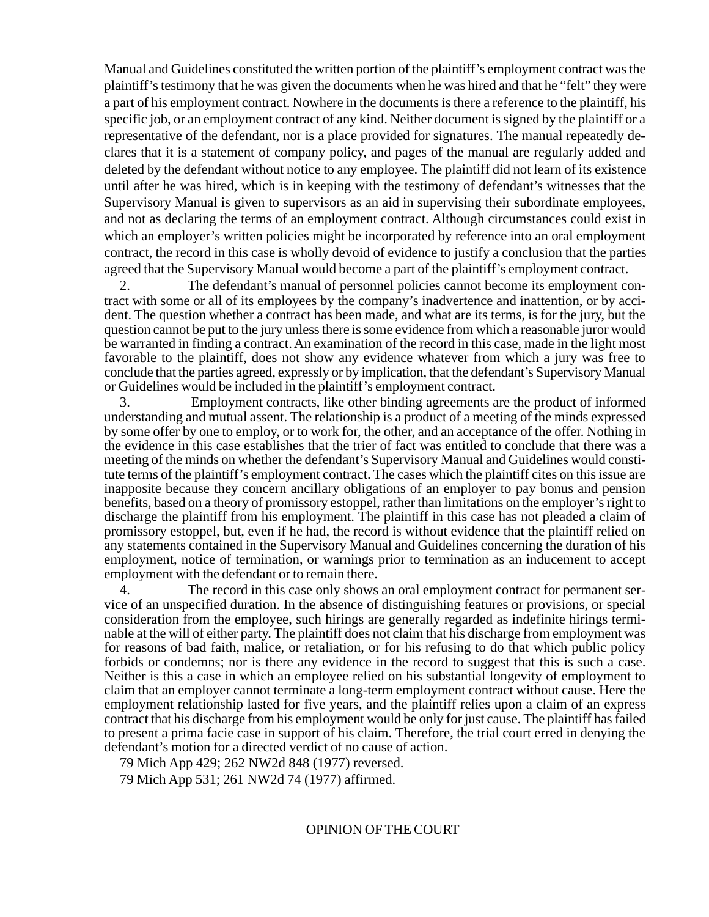Manual and Guidelines constituted the written portion of the plaintiff's employment contract was the plaintiff's testimony that he was given the documents when he was hired and that he "felt" they were a part of his employment contract. Nowhere in the documents is there a reference to the plaintiff, his specific job, or an employment contract of any kind. Neither document is signed by the plaintiff or a representative of the defendant, nor is a place provided for signatures. The manual repeatedly declares that it is a statement of company policy, and pages of the manual are regularly added and deleted by the defendant without notice to any employee. The plaintiff did not learn of its existence until after he was hired, which is in keeping with the testimony of defendant's witnesses that the Supervisory Manual is given to supervisors as an aid in supervising their subordinate employees, and not as declaring the terms of an employment contract. Although circumstances could exist in which an employer's written policies might be incorporated by reference into an oral employment contract, the record in this case is wholly devoid of evidence to justify a conclusion that the parties agreed that the Supervisory Manual would become a part of the plaintiff's employment contract.

2. The defendant's manual of personnel policies cannot become its employment contract with some or all of its employees by the company's inadvertence and inattention, or by accident. The question whether a contract has been made, and what are its terms, is for the jury, but the question cannot be put to the jury unless there is some evidence from which a reasonable juror would be warranted in finding a contract. An examination of the record in this case, made in the light most favorable to the plaintiff, does not show any evidence whatever from which a jury was free to conclude that the parties agreed, expressly or by implication, that the defendant's Supervisory Manual or Guidelines would be included in the plaintiff's employment contract.

3. Employment contracts, like other binding agreements are the product of informed understanding and mutual assent. The relationship is a product of a meeting of the minds expressed by some offer by one to employ, or to work for, the other, and an acceptance of the offer. Nothing in the evidence in this case establishes that the trier of fact was entitled to conclude that there was a meeting of the minds on whether the defendant's Supervisory Manual and Guidelines would constitute terms of the plaintiff's employment contract. The cases which the plaintiff cites on this issue are inapposite because they concern ancillary obligations of an employer to pay bonus and pension benefits, based on a theory of promissory estoppel, rather than limitations on the employer's right to discharge the plaintiff from his employment. The plaintiff in this case has not pleaded a claim of promissory estoppel, but, even if he had, the record is without evidence that the plaintiff relied on any statements contained in the Supervisory Manual and Guidelines concerning the duration of his employment, notice of termination, or warnings prior to termination as an inducement to accept employment with the defendant or to remain there.

4. The record in this case only shows an oral employment contract for permanent service of an unspecified duration. In the absence of distinguishing features or provisions, or special consideration from the employee, such hirings are generally regarded as indefinite hirings terminable at the will of either party. The plaintiff does not claim that his discharge from employment was for reasons of bad faith, malice, or retaliation, or for his refusing to do that which public policy forbids or condemns; nor is there any evidence in the record to suggest that this is such a case. Neither is this a case in which an employee relied on his substantial longevity of employment to claim that an employer cannot terminate a long-term employment contract without cause. Here the employment relationship lasted for five years, and the plaintiff relies upon a claim of an express contract that his discharge from his employment would be only for just cause. The plaintiff has failed to present a prima facie case in support of his claim. Therefore, the trial court erred in denying the defendant's motion for a directed verdict of no cause of action.

79 Mich App 429; 262 NW2d 848 (1977) reversed.

79 Mich App 531; 261 NW2d 74 (1977) affirmed.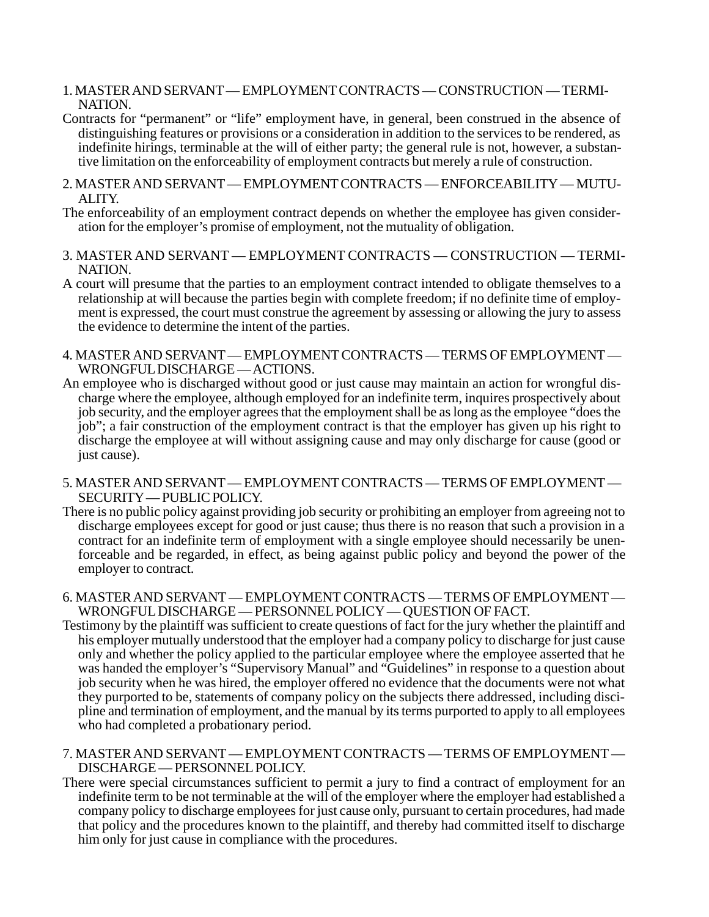- 1. MASTER AND SERVANT EMPLOYMENT CONTRACTS CONSTRUCTION TERMI-NATION.
- Contracts for "permanent" or "life" employment have, in general, been construed in the absence of distinguishing features or provisions or a consideration in addition to the services to be rendered, as indefinite hirings, terminable at the will of either party; the general rule is not, however, a substantive limitation on the enforceability of employment contracts but merely a rule of construction.
- 2. MASTER AND SERVANT EMPLOYMENT CONTRACTS ENFORCEABILITY MUTU-ALITY.
- The enforceability of an employment contract depends on whether the employee has given consideration for the employer's promise of employment, not the mutuality of obligation.
- 3. MASTER AND SERVANT EMPLOYMENT CONTRACTS CONSTRUCTION TERMI-NATION.
- A court will presume that the parties to an employment contract intended to obligate themselves to a relationship at will because the parties begin with complete freedom; if no definite time of employment is expressed, the court must construe the agreement by assessing or allowing the jury to assess the evidence to determine the intent of the parties.
- 4. MASTER AND SERVANT EMPLOYMENT CONTRACTS TERMS OF EMPLOYMENT WRONGFUL DISCHARGE — ACTIONS.
- An employee who is discharged without good or just cause may maintain an action for wrongful discharge where the employee, although employed for an indefinite term, inquires prospectively about job security, and the employer agrees that the employment shall be as long as the employee "does the job"; a fair construction of the employment contract is that the employer has given up his right to discharge the employee at will without assigning cause and may only discharge for cause (good or just cause).
- 5. MASTER AND SERVANT EMPLOYMENT CONTRACTS TERMS OF EMPLOYMENT SECURITY — PUBLIC POLICY.
- There is no public policy against providing job security or prohibiting an employer from agreeing not to discharge employees except for good or just cause; thus there is no reason that such a provision in a contract for an indefinite term of employment with a single employee should necessarily be unenforceable and be regarded, in effect, as being against public policy and beyond the power of the employer to contract.
- 6. MASTER AND SERVANT EMPLOYMENT CONTRACTS TERMS OF EMPLOYMENT WRONGFUL DISCHARGE — PERSONNEL POLICY — QUESTION OF FACT.
- Testimony by the plaintiff was sufficient to create questions of fact for the jury whether the plaintiff and his employer mutually understood that the employer had a company policy to discharge for just cause only and whether the policy applied to the particular employee where the employee asserted that he was handed the employer's "Supervisory Manual" and "Guidelines" in response to a question about job security when he was hired, the employer offered no evidence that the documents were not what they purported to be, statements of company policy on the subjects there addressed, including discipline and termination of employment, and the manual by its terms purported to apply to all employees who had completed a probationary period.
- 7. MASTER AND SERVANT EMPLOYMENT CONTRACTS TERMS OF EMPLOYMENT DISCHARGE — PERSONNEL POLICY.
- There were special circumstances sufficient to permit a jury to find a contract of employment for an indefinite term to be not terminable at the will of the employer where the employer had established a company policy to discharge employees for just cause only, pursuant to certain procedures, had made that policy and the procedures known to the plaintiff, and thereby had committed itself to discharge him only for just cause in compliance with the procedures.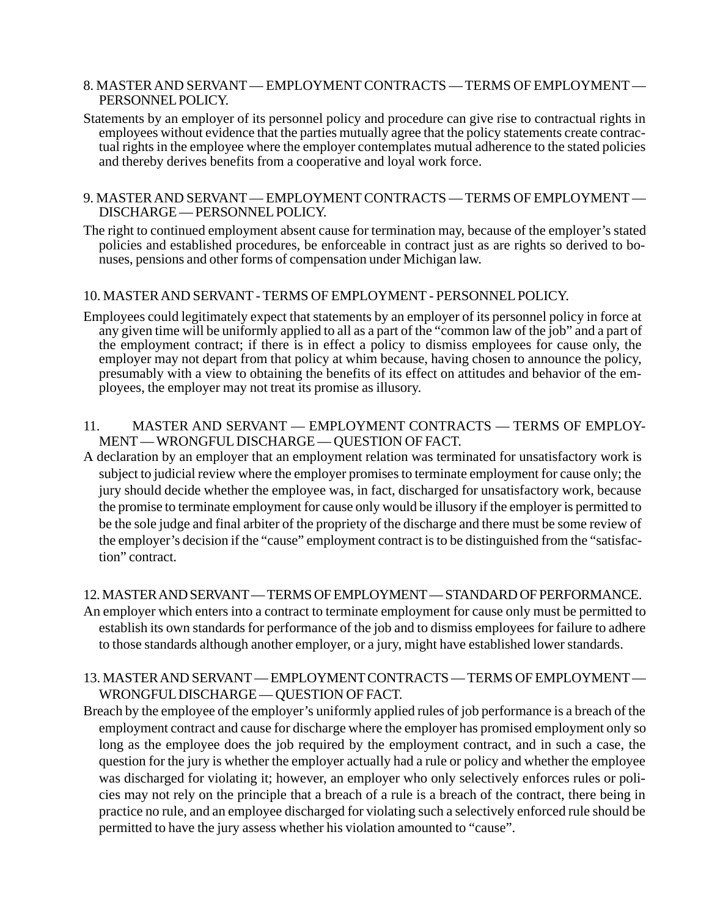#### 8. MASTER AND SERVANT — EMPLOYMENT CONTRACTS — TERMS OF EMPLOYMENT — PERSONNEL POLICY.

Statements by an employer of its personnel policy and procedure can give rise to contractual rights in employees without evidence that the parties mutually agree that the policy statements create contractual rights in the employee where the employer contemplates mutual adherence to the stated policies and thereby derives benefits from a cooperative and loyal work force.

#### 9. MASTER AND SERVANT — EMPLOYMENT CONTRACTS — TERMS OF EMPLOYMENT — DISCHARGE — PERSONNEL POLICY.

The right to continued employment absent cause for termination may, because of the employer's stated policies and established procedures, be enforceable in contract just as are rights so derived to bonuses, pensions and other forms of compensation under Michigan law.

### 10. MASTER AND SERVANT - TERMS OF EMPLOYMENT - PERSONNEL POLICY.

Employees could legitimately expect that statements by an employer of its personnel policy in force at any given time will be uniformly applied to all as a part of the "common law of the job" and a part of the employment contract; if there is in effect a policy to dismiss employees for cause only, the employer may not depart from that policy at whim because, having chosen to announce the policy, presumably with a view to obtaining the benefits of its effect on attitudes and behavior of the employees, the employer may not treat its promise as illusory.

### 11. MASTER AND SERVANT — EMPLOYMENT CONTRACTS — TERMS OF EMPLOY-MENT — WRONGFUL DISCHARGE — QUESTION OF FACT.

A declaration by an employer that an employment relation was terminated for unsatisfactory work is subject to judicial review where the employer promises to terminate employment for cause only; the jury should decide whether the employee was, in fact, discharged for unsatisfactory work, because the promise to terminate employment for cause only would be illusory if the employer is permitted to be the sole judge and final arbiter of the propriety of the discharge and there must be some review of the employer's decision if the "cause" employment contract is to be distinguished from the "satisfaction" contract.

## 12. MASTER AND SERVANT — TERMS OF EMPLOYMENT — STANDARD OF PERFORMANCE.

An employer which enters into a contract to terminate employment for cause only must be permitted to establish its own standards for performance of the job and to dismiss employees for failure to adhere to those standards although another employer, or a jury, might have established lower standards.

## 13. MASTER AND SERVANT — EMPLOYMENT CONTRACTS — TERMS OF EMPLOYMENT — WRONGFUL DISCHARGE — QUESTION OF FACT.

Breach by the employee of the employer's uniformly applied rules of job performance is a breach of the employment contract and cause for discharge where the employer has promised employment only so long as the employee does the job required by the employment contract, and in such a case, the question for the jury is whether the employer actually had a rule or policy and whether the employee was discharged for violating it; however, an employer who only selectively enforces rules or policies may not rely on the principle that a breach of a rule is a breach of the contract, there being in practice no rule, and an employee discharged for violating such a selectively enforced rule should be permitted to have the jury assess whether his violation amounted to "cause".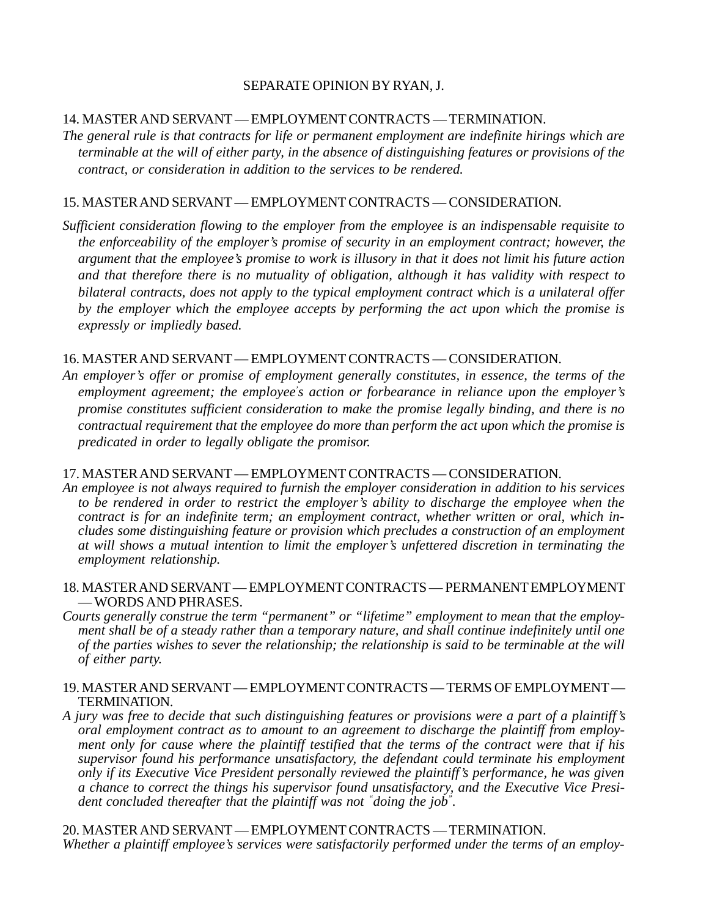### SEPARATE OPINION BY RYAN, J.

# 14. MASTER AND SERVANT — EMPLOYMENT CONTRACTS — TERMINATION.

*The general rule is that contracts for life or permanent employment are indefinite hirings which are terminable at the will of either party, in the absence of distinguishing features or provisions of the contract, or consideration in addition to the services to be rendered.*

# 15. MASTER AND SERVANT — EMPLOYMENT CONTRACTS — CONSIDERATION.

*Sufficient consideration flowing to the employer from the employee is an indispensable requisite to the enforceability of the employer's promise of security in an employment contract; however, the argument that the employee's promise to work is illusory in that it does not limit his future action and that therefore there is no mutuality of obligation, although it has validity with respect to bilateral contracts, does not apply to the typical employment contract which is a unilateral offer by the employer which the employee accepts by performing the act upon which the promise is expressly or impliedly based.*

# 16. MASTER AND SERVANT — EMPLOYMENT CONTRACTS — CONSIDERATION.

*An employer's offer or promise of employment generally constitutes, in essence, the terms of the employment agreement; the employee' s action or forbearance in reliance upon the employer's promise constitutes sufficient consideration to make the promise legally binding, and there is no contractual requirement that the employee do more than perform the act upon which the promise is predicated in order to legally obligate the promisor.*

## 17. MASTER AND SERVANT — EMPLOYMENT CONTRACTS — CONSIDERATION.

*An employee is not always required to furnish the employer consideration in addition to his services to be rendered in order to restrict the employer's ability to discharge the employee when the contract is for an indefinite term; an employment contract, whether written or oral, which includes some distinguishing feature or provision which precludes a construction of an employment at will shows a mutual intention to limit the employer's unfettered discretion in terminating the employment relationship.*

### 18. MASTER AND SERVANT — EMPLOYMENT CONTRACTS — PERMANENT EMPLOYMENT — WORDS AND PHRASES.

*Courts generally construe the term "permanent" or "lifetime" employment to mean that the employment shall be of a steady rather than a temporary nature, and shall continue indefinitely until one of the parties wishes to sever the relationship; the relationship is said to be terminable at the will of either party.*

## 19. MASTER AND SERVANT — EMPLOYMENT CONTRACTS — TERMS OF EMPLOYMENT — TERMINATION.

*A jury was free to decide that such distinguishing features or provisions were a part of a plaintiff's oral employment contract as to amount to an agreement to discharge the plaintiff from employment only for cause where the plaintiff testified that the terms of the contract were that if his supervisor found his performance unsatisfactory, the defendant could terminate his employment only if its Executive Vice President personally reviewed the plaintiff's performance, he was given a chance to correct the things his supervisor found unsatisfactory, and the Executive Vice President concluded thereafter that the plaintiff was not " doing the job" .*

20. MASTER AND SERVANT — EMPLOYMENT CONTRACTS — TERMINATION. *Whether a plaintiff employee's services were satisfactorily performed under the terms of an employ-*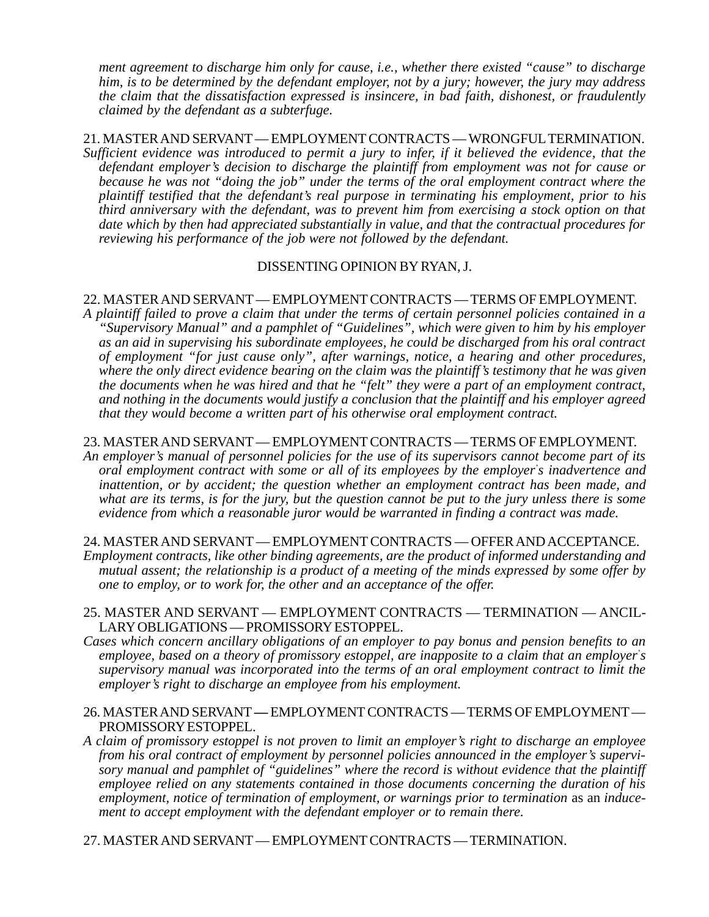*ment agreement to discharge him only for cause, i.e., whether there existed "cause" to discharge him, is to be determined by the defendant employer, not by a jury; however, the jury may address the claim that the dissatisfaction expressed is insincere, in bad faith, dishonest, or fraudulently claimed by the defendant as a subterfuge.*

21. MASTER AND SERVANT — EMPLOYMENT CONTRACTS — WRONGFUL TERMINATION. *Sufficient evidence was introduced to permit a jury to infer, if it believed the evidence, that the defendant employer's decision to discharge the plaintiff from employment was not for cause or because he was not "doing the job" under the terms of the oral employment contract where the plaintiff testified that the defendant's real purpose in terminating his employment, prior to his third anniversary with the defendant, was to prevent him from exercising a stock option on that date which by then had appreciated substantially in value, and that the contractual procedures for reviewing his performance of the job were not followed by the defendant.*

### DISSENTING OPINION BY RYAN, J.

### 22. MASTER AND SERVANT — EMPLOYMENT CONTRACTS — TERMS OF EMPLOYMENT.

*A plaintiff failed to prove a claim that under the terms of certain personnel policies contained in a "Supervisory Manual" and a pamphlet of "Guidelines", which were given to him by his employer as an aid in supervising his subordinate employees, he could be discharged from his oral contract of employment "for just cause only", after warnings, notice, a hearing and other procedures, where the only direct evidence bearing on the claim was the plaintiff's testimony that he was given the documents when he was hired and that he "felt" they were a part of an employment contract, and nothing in the documents would justify a conclusion that the plaintiff and his employer agreed that they would become a written part of his otherwise oral employment contract.*

### 23. MASTER AND SERVANT — EMPLOYMENT CONTRACTS — TERMS OF EMPLOYMENT.

*An employer's manual of personnel policies for the use of its supervisors cannot become part of its oral employment contract with some or all of its employees by the employer*' *s inadvertence and inattention, or by accident; the question whether an employment contract has been made, and what are its terms, is for the jury, but the question cannot be put to the jury unless there is some evidence from which a reasonable juror would be warranted in finding a contract was made.*

### 24. MASTER AND SERVANT — EMPLOYMENT CONTRACTS — OFFER AND ACCEPTANCE.

*Employment contracts, like other binding agreements, are the product of informed understanding and mutual assent; the relationship is a product of a meeting of the minds expressed by some offer by one to employ, or to work for, the other and an acceptance of the offer.*

### 25. MASTER AND SERVANT — EMPLOYMENT CONTRACTS — TERMINATION — ANCIL-LARY OBLIGATIONS — PROMISSORY ESTOPPEL.

*Cases which concern ancillary obligations of an employer to pay bonus and pension benefits to an employee, based on a theory of promissory estoppel, are inapposite to a claim that an employer*' *s supervisory manual was incorporated into the terms of an oral employment contract to limit the employer's right to discharge an employee from his employment.*

#### 26. MASTER AND SERVANT **—** EMPLOYMENT CONTRACTS — TERMS OF EMPLOYMENT — PROMISSORY ESTOPPEL.

*A claim of promissory estoppel is not proven to limit an employer's right to discharge an employee from his oral contract of employment by personnel policies announced in the employer's supervisory manual and pamphlet of "guidelines" where the record is without evidence that the plaintiff employee relied on any statements contained in those documents concerning the duration of his employment, notice of termination of employment, or warnings prior to termination* as an *inducement to accept employment with the defendant employer or to remain there.*

### 27. MASTER AND SERVANT — EMPLOYMENT CONTRACTS — TERMINATION.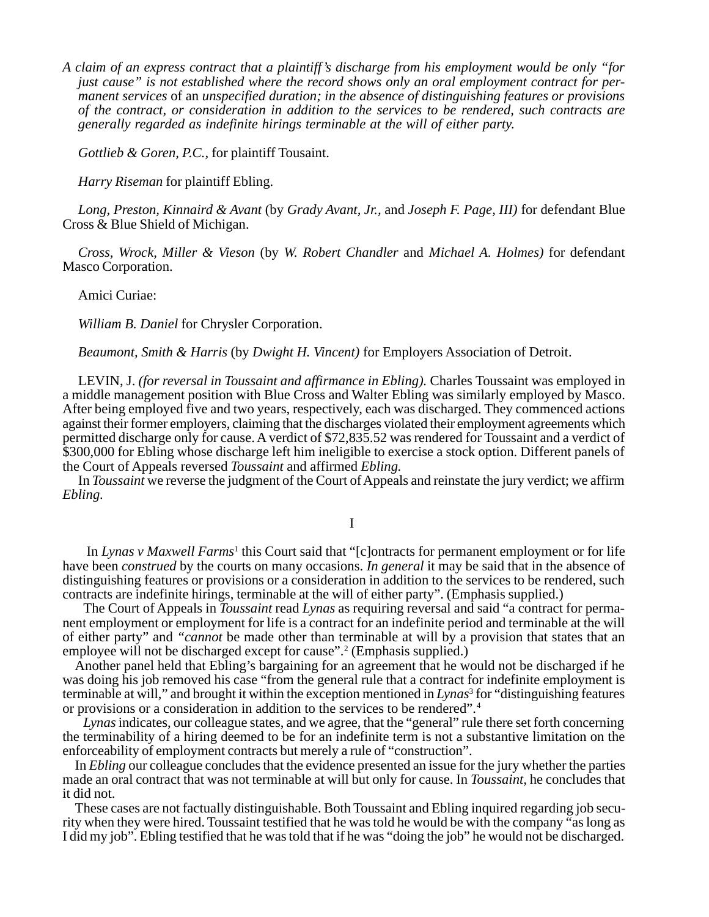*A claim of an express contract that a plaintiff's discharge from his employment would be only "for just cause" is not established where the record shows only an oral employment contract for permanent services* of an *unspecified duration; in the absence of distinguishing features or provisions of the contract, or consideration in addition to the services to be rendered, such contracts are generally regarded as indefinite hirings terminable at the will of either party.*

*Gottlieb & Goren, P.C.,* for plaintiff Tousaint.

*Harry Riseman* for plaintiff Ebling.

*Long, Preston, Kinnaird & Avant* (by *Grady Avant, Jr.,* and *Joseph F. Page, III)* for defendant Blue Cross & Blue Shield of Michigan.

*Cross, Wrock, Miller & Vieson* (by *W. Robert Chandler* and *Michael A. Holmes)* for defendant Masco Corporation.

Amici Curiae:

*William B. Daniel* for Chrysler Corporation.

*Beaumont, Smith & Harris* (by *Dwight H. Vincent)* for Employers Association of Detroit.

LEVIN, J. *(for reversal in Toussaint and affirmance in Ebling).* Charles Toussaint was employed in a middle management position with Blue Cross and Walter Ebling was similarly employed by Masco. After being employed five and two years, respectively, each was discharged. They commenced actions against their former employers, claiming that the discharges violated their employment agreements which permitted discharge only for cause. A verdict of \$72,835.52 was rendered for Toussaint and a verdict of \$300,000 for Ebling whose discharge left him ineligible to exercise a stock option. Different panels of the Court of Appeals reversed *Toussaint* and affirmed *Ebling.*

In *Toussaint* we reverse the judgment of the Court of Appeals and reinstate the jury verdict; we affirm *Ebling.*

I

 In *Lynas v Maxwell Farms*<sup>1</sup> this Court said that "[c]ontracts for permanent employment or for life have been *construed* by the courts on many occasions. *In general* it may be said that in the absence of distinguishing features or provisions or a consideration in addition to the services to be rendered, such contracts are indefinite hirings, terminable at the will of either party". (Emphasis supplied.)

The Court of Appeals in *Toussaint* read *Lynas* as requiring reversal and said "a contract for permanent employment or employment for life is a contract for an indefinite period and terminable at the will of either party" and *"cannot* be made other than terminable at will by a provision that states that an employee will not be discharged except for cause".<sup>2</sup> (Emphasis supplied.)

Another panel held that Ebling's bargaining for an agreement that he would not be discharged if he was doing his job removed his case "from the general rule that a contract for indefinite employment is terminable at will," and brought it within the exception mentioned in *Lynas*<sup>3</sup> for "distinguishing features" or provisions or a consideration in addition to the services to be rendered".4

*Lynas* indicates, our colleague states, and we agree, that the "general" rule there set forth concerning the terminability of a hiring deemed to be for an indefinite term is not a substantive limitation on the enforceability of employment contracts but merely a rule of "construction".

In *Ebling* our colleague concludes that the evidence presented an issue for the jury whether the parties made an oral contract that was not terminable at will but only for cause. In *Toussaint,* he concludes that it did not.

These cases are not factually distinguishable. Both Toussaint and Ebling inquired regarding job security when they were hired. Toussaint testified that he was told he would be with the company "as long as I did my job". Ebling testified that he was told that if he was "doing the job" he would not be discharged.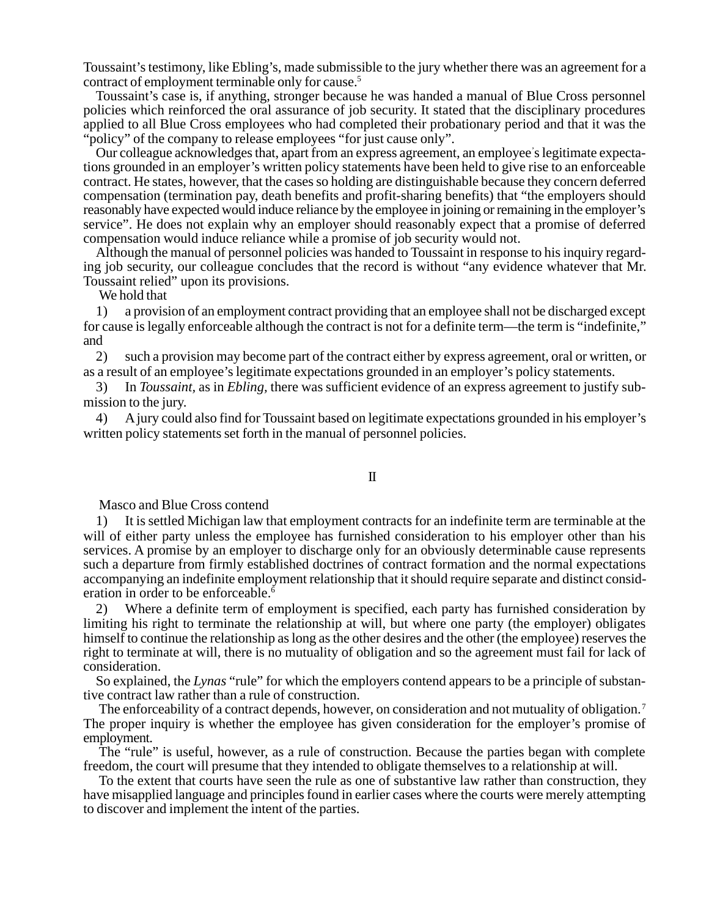Toussaint's testimony, like Ebling's, made submissible to the jury whether there was an agreement for a contract of employment terminable only for cause.5

Toussaint's case is, if anything, stronger because he was handed a manual of Blue Cross personnel policies which reinforced the oral assurance of job security. It stated that the disciplinary procedures applied to all Blue Cross employees who had completed their probationary period and that it was the "policy" of the company to release employees "for just cause only".

Our colleague acknowledges that, apart from an express agreement, an employee' s legitimate expectations grounded in an employer's written policy statements have been held to give rise to an enforceable contract. He states, however, that the cases so holding are distinguishable because they concern deferred compensation (termination pay, death benefits and profit-sharing benefits) that "the employers should reasonably have expected would induce reliance by the employee in joining or remaining in the employer's service". He does not explain why an employer should reasonably expect that a promise of deferred compensation would induce reliance while a promise of job security would not.

Although the manual of personnel policies was handed to Toussaint in response to his inquiry regarding job security, our colleague concludes that the record is without "any evidence whatever that Mr. Toussaint relied" upon its provisions.

We hold that

1) a provision of an employment contract providing that an employee shall not be discharged except for cause is legally enforceable although the contract is not for a definite term—the term is "indefinite," and

2) such a provision may become part of the contract either by express agreement, oral or written, or as a result of an employee's legitimate expectations grounded in an employer's policy statements.

3) In *Toussaint,* as in *Ebling,* there was sufficient evidence of an express agreement to justify submission to the jury.

4) A jury could also find for Toussaint based on legitimate expectations grounded in his employer's written policy statements set forth in the manual of personnel policies.

II

Masco and Blue Cross contend

1) It is settled Michigan law that employment contracts for an indefinite term are terminable at the will of either party unless the employee has furnished consideration to his employer other than his services. A promise by an employer to discharge only for an obviously determinable cause represents such a departure from firmly established doctrines of contract formation and the normal expectations accompanying an indefinite employment relationship that it should require separate and distinct consideration in order to be enforceable.<sup>6</sup>

2) Where a definite term of employment is specified, each party has furnished consideration by limiting his right to terminate the relationship at will, but where one party (the employer) obligates himself to continue the relationship as long as the other desires and the other (the employee) reserves the right to terminate at will, there is no mutuality of obligation and so the agreement must fail for lack of consideration.

So explained, the *Lynas* "rule" for which the employers contend appears to be a principle of substantive contract law rather than a rule of construction.

The enforceability of a contract depends, however, on consideration and not mutuality of obligation.<sup>7</sup> The proper inquiry is whether the employee has given consideration for the employer's promise of employment.

The "rule" is useful, however, as a rule of construction. Because the parties began with complete freedom, the court will presume that they intended to obligate themselves to a relationship at will.

To the extent that courts have seen the rule as one of substantive law rather than construction, they have misapplied language and principles found in earlier cases where the courts were merely attempting to discover and implement the intent of the parties.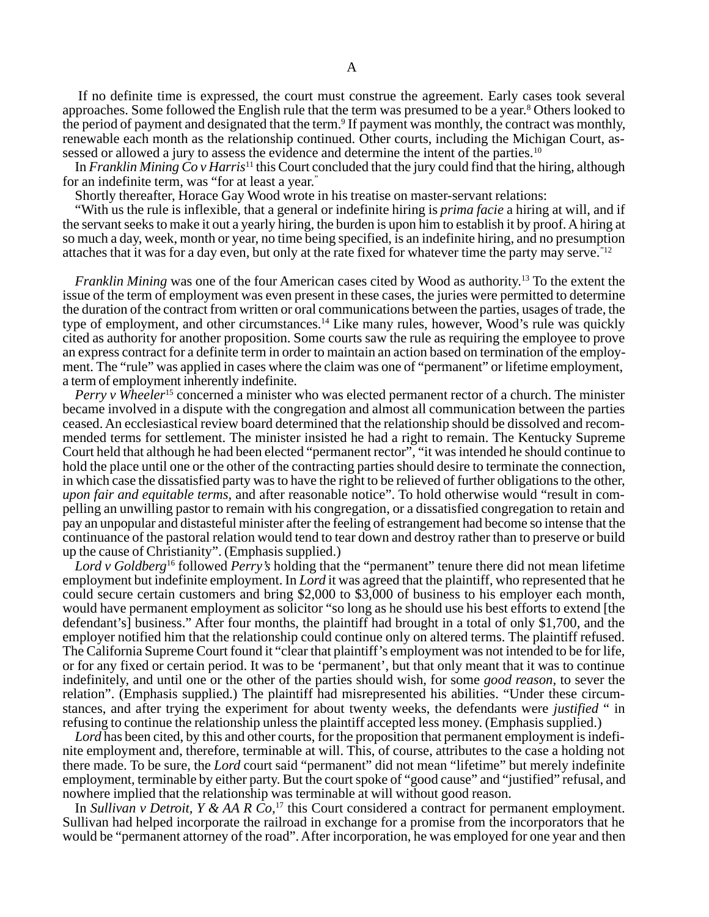If no definite time is expressed, the court must construe the agreement. Early cases took several approaches. Some followed the English rule that the term was presumed to be a year.<sup>8</sup> Others looked to the period of payment and designated that the term.<sup>9</sup> If payment was monthly, the contract was monthly, renewable each month as the relationship continued. Other courts, including the Michigan Court, assessed or allowed a jury to assess the evidence and determine the intent of the parties.<sup>10</sup>

In *Franklin Mining Co v Harris*<sup>11</sup> this Court concluded that the jury could find that the hiring, although for an indefinite term, was "for at least a year."

Shortly thereafter, Horace Gay Wood wrote in his treatise on master-servant relations:

"With us the rule is inflexible, that a general or indefinite hiring is *prima facie* a hiring at will, and if the servant seeks to make it out a yearly hiring, the burden is upon him to establish it by proof. A hiring at so much a day, week, month or year, no time being specified, is an indefinite hiring, and no presumption attaches that it was for a day even, but only at the rate fixed for whatever time the party may serve."12

*Franklin Mining* was one of the four American cases cited by Wood as authority.<sup>13</sup> To the extent the issue of the term of employment was even present in these cases, the juries were permitted to determine the duration of the contract from written or oral communications between the parties, usages of trade, the type of employment, and other circumstances.<sup>14</sup> Like many rules, however, Wood's rule was quickly cited as authority for another proposition. Some courts saw the rule as requiring the employee to prove an express contract for a definite term in order to maintain an action based on termination of the employment. The "rule" was applied in cases where the claim was one of "permanent" or lifetime employment, a term of employment inherently indefinite.

*Perry v Wheeler*<sup>15</sup> concerned a minister who was elected permanent rector of a church. The minister became involved in a dispute with the congregation and almost all communication between the parties ceased. An ecclesiastical review board determined that the relationship should be dissolved and recommended terms for settlement. The minister insisted he had a right to remain. The Kentucky Supreme Court held that although he had been elected "permanent rector", "it was intended he should continue to hold the place until one or the other of the contracting parties should desire to terminate the connection, in which case the dissatisfied party was to have the right to be relieved of further obligations to the other, *upon fair and equitable terms,* and after reasonable notice". To hold otherwise would "result in compelling an unwilling pastor to remain with his congregation, or a dissatisfied congregation to retain and pay an unpopular and distasteful minister after the feeling of estrangement had become so intense that the continuance of the pastoral relation would tend to tear down and destroy rather than to preserve or build up the cause of Christianity". (Emphasis supplied.)

*Lord v Goldberg*<sup>16</sup> followed *Perry's* holding that the "permanent" tenure there did not mean lifetime employment but indefinite employment. In *Lord* it was agreed that the plaintiff, who represented that he could secure certain customers and bring \$2,000 to \$3,000 of business to his employer each month, would have permanent employment as solicitor "so long as he should use his best efforts to extend [the defendant's] business." After four months, the plaintiff had brought in a total of only \$1,700, and the employer notified him that the relationship could continue only on altered terms. The plaintiff refused. The California Supreme Court found it "clear that plaintiff's employment was not intended to be for life, or for any fixed or certain period. It was to be 'permanent', but that only meant that it was to continue indefinitely, and until one or the other of the parties should wish, for some *good reason,* to sever the relation". (Emphasis supplied.) The plaintiff had misrepresented his abilities. "Under these circumstances, and after trying the experiment for about twenty weeks, the defendants were *justified* " in refusing to continue the relationship unless the plaintiff accepted less money. (Emphasis supplied.)

Lord has been cited, by this and other courts, for the proposition that permanent employment is indefinite employment and, therefore, terminable at will. This, of course, attributes to the case a holding not there made. To be sure, the *Lord* court said "permanent" did not mean "lifetime" but merely indefinite employment, terminable by either party. But the court spoke of "good cause" and "justified" refusal, and nowhere implied that the relationship was terminable at will without good reason.

In *Sullivan v Detroit, Y & AA R Co*,<sup>17</sup> this Court considered a contract for permanent employment. Sullivan had helped incorporate the railroad in exchange for a promise from the incorporators that he would be "permanent attorney of the road". After incorporation, he was employed for one year and then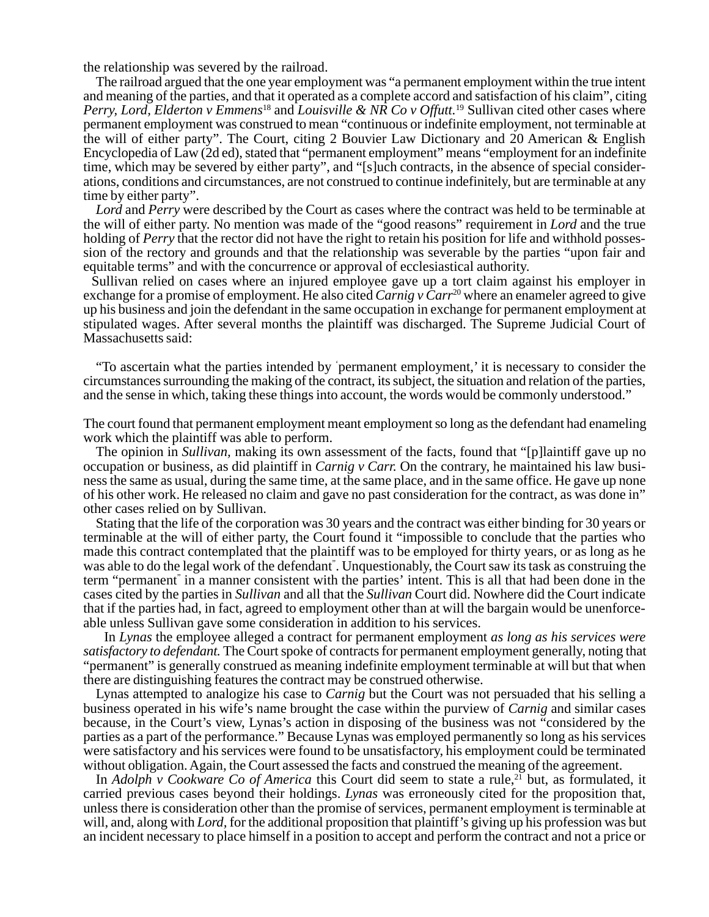the relationship was severed by the railroad.

The railroad argued that the one year employment was "a permanent employment within the true intent and meaning of the parties, and that it operated as a complete accord and satisfaction of his claim", citing *Perry, Lord, Elderton v Emmens*<sup>18</sup> and *Louisville & NR Co v Offutt.*<sup>19</sup> Sullivan cited other cases where permanent employment was construed to mean "continuous or indefinite employment, not terminable at the will of either party". The Court, citing 2 Bouvier Law Dictionary and 20 American & English Encyclopedia of Law (2d ed), stated that "permanent employment" means "employment for an indefinite time, which may be severed by either party", and "[s]uch contracts, in the absence of special considerations, conditions and circumstances, are not construed to continue indefinitely, but are terminable at any time by either party".

*Lord* and *Perry* were described by the Court as cases where the contract was held to be terminable at the will of either party. No mention was made of the "good reasons" requirement in *Lord* and the true holding of *Perry* that the rector did not have the right to retain his position for life and withhold possession of the rectory and grounds and that the relationship was severable by the parties "upon fair and equitable terms" and with the concurrence or approval of ecclesiastical authority.

Sullivan relied on cases where an injured employee gave up a tort claim against his employer in exchange for a promise of employment. He also cited *Carnig v Carr*<sup>20</sup> where an enameler agreed to give up his business and join the defendant in the same occupation in exchange for permanent employment at stipulated wages. After several months the plaintiff was discharged. The Supreme Judicial Court of Massachusetts said:

"To ascertain what the parties intended by ' permanent employment,' it is necessary to consider the circumstances surrounding the making of the contract, its subject, the situation and relation of the parties, and the sense in which, taking these things into account, the words would be commonly understood."

The court found that permanent employment meant employment so long as the defendant had enameling work which the plaintiff was able to perform.

The opinion in *Sullivan*, making its own assessment of the facts, found that "[p]laintiff gave up no occupation or business, as did plaintiff in *Carnig v Carr.* On the contrary, he maintained his law business the same as usual, during the same time, at the same place, and in the same office. He gave up none of his other work. He released no claim and gave no past consideration for the contract, as was done in" other cases relied on by Sullivan.

Stating that the life of the corporation was 30 years and the contract was either binding for 30 years or terminable at the will of either party, the Court found it "impossible to conclude that the parties who made this contract contemplated that the plaintiff was to be employed for thirty years, or as long as he was able to do the legal work of the defendant" . Unquestionably, the Court saw its task as construing the term "permanent" in a manner consistent with the parties' intent. This is all that had been done in the cases cited by the parties in *Sullivan* and all that the *Sullivan* Court did. Nowhere did the Court indicate that if the parties had, in fact, agreed to employment other than at will the bargain would be unenforceable unless Sullivan gave some consideration in addition to his services.

In *Lynas* the employee alleged a contract for permanent employment *as long as his services were satisfactory to defendant.* The Court spoke of contracts for permanent employment generally, noting that "permanent" is generally construed as meaning indefinite employment terminable at will but that when there are distinguishing features the contract may be construed otherwise.

Lynas attempted to analogize his case to *Carnig* but the Court was not persuaded that his selling a business operated in his wife's name brought the case within the purview of *Carnig* and similar cases because, in the Court's view, Lynas's action in disposing of the business was not "considered by the parties as a part of the performance." Because Lynas was employed permanently so long as his services were satisfactory and his services were found to be unsatisfactory, his employment could be terminated without obligation. Again, the Court assessed the facts and construed the meaning of the agreement.

In *Adolph v Cookware Co of America* this Court did seem to state a rule,<sup>21</sup> but, as formulated, it carried previous cases beyond their holdings. *Lynas* was erroneously cited for the proposition that, unless there is consideration other than the promise of services, permanent employment is terminable at will, and, along with *Lord,* for the additional proposition that plaintiff's giving up his profession was but an incident necessary to place himself in a position to accept and perform the contract and not a price or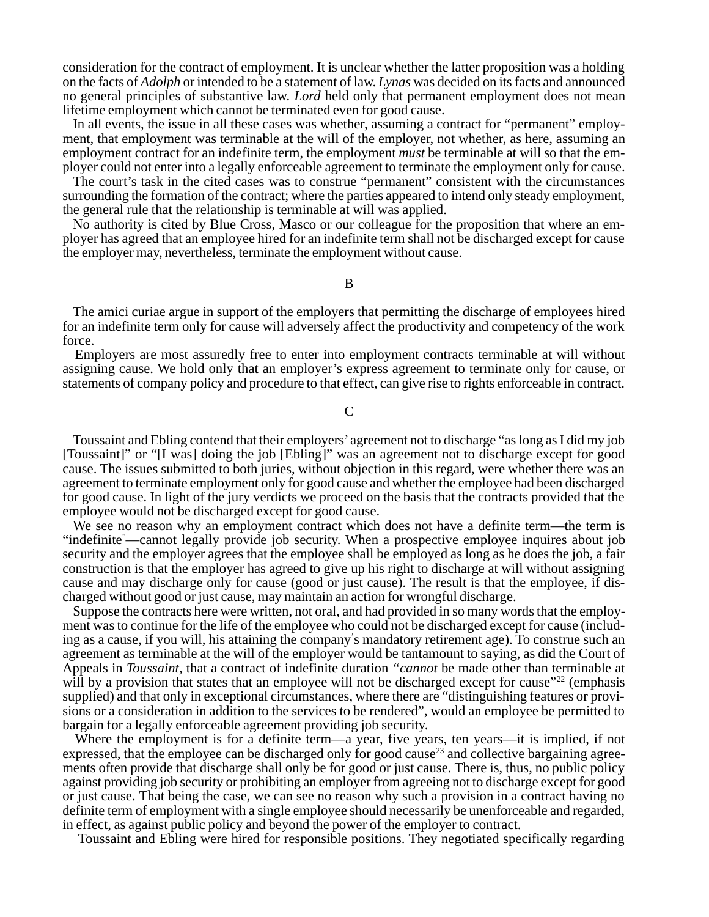consideration for the contract of employment. It is unclear whether the latter proposition was a holding on the facts of *Adolph* or intended to be a statement of law. *Lynas* was decided on its facts and announced no general principles of substantive law. *Lord* held only that permanent employment does not mean lifetime employment which cannot be terminated even for good cause.

In all events, the issue in all these cases was whether, assuming a contract for "permanent" employment, that employment was terminable at the will of the employer, not whether, as here, assuming an employment contract for an indefinite term, the employment *must* be terminable at will so that the employer could not enter into a legally enforceable agreement to terminate the employment only for cause.

The court's task in the cited cases was to construe "permanent" consistent with the circumstances surrounding the formation of the contract; where the parties appeared to intend only steady employment, the general rule that the relationship is terminable at will was applied.

No authority is cited by Blue Cross, Masco or our colleague for the proposition that where an employer has agreed that an employee hired for an indefinite term shall not be discharged except for cause the employer may, nevertheless, terminate the employment without cause.

B

The amici curiae argue in support of the employers that permitting the discharge of employees hired for an indefinite term only for cause will adversely affect the productivity and competency of the work force.

Employers are most assuredly free to enter into employment contracts terminable at will without assigning cause. We hold only that an employer's express agreement to terminate only for cause, or statements of company policy and procedure to that effect, can give rise to rights enforceable in contract.

 $\mathsf{C}$ 

Toussaint and Ebling contend that their employers' agreement not to discharge "as long as I did my job [Toussaint]" or "[I was] doing the job [Ebling]" was an agreement not to discharge except for good cause. The issues submitted to both juries, without objection in this regard, were whether there was an agreement to terminate employment only for good cause and whether the employee had been discharged for good cause. In light of the jury verdicts we proceed on the basis that the contracts provided that the employee would not be discharged except for good cause.

We see no reason why an employment contract which does not have a definite term—the term is "indefinite" —cannot legally provide job security. When a prospective employee inquires about job security and the employer agrees that the employee shall be employed as long as he does the job, a fair construction is that the employer has agreed to give up his right to discharge at will without assigning cause and may discharge only for cause (good or just cause). The result is that the employee, if discharged without good or just cause, may maintain an action for wrongful discharge.

Suppose the contracts here were written, not oral, and had provided in so many words that the employment was to continue for the life of the employee who could not be discharged except for cause (including as a cause, if you will, his attaining the company' s mandatory retirement age). To construe such an agreement as terminable at the will of the employer would be tantamount to saying, as did the Court of Appeals in *Toussaint,* that a contract of indefinite duration *"cannot* be made other than terminable at will by a provision that states that an employee will not be discharged except for cause"<sup>22</sup> (emphasis supplied) and that only in exceptional circumstances, where there are "distinguishing features or provisions or a consideration in addition to the services to be rendered", would an employee be permitted to bargain for a legally enforceable agreement providing job security.

Where the employment is for a definite term—a year, five years, ten years—it is implied, if not expressed, that the employee can be discharged only for good cause<sup>23</sup> and collective bargaining agreements often provide that discharge shall only be for good or just cause. There is, thus, no public policy against providing job security or prohibiting an employer from agreeing not to discharge except for good or just cause. That being the case, we can see no reason why such a provision in a contract having no definite term of employment with a single employee should necessarily be unenforceable and regarded, in effect, as against public policy and beyond the power of the employer to contract.

Toussaint and Ebling were hired for responsible positions. They negotiated specifically regarding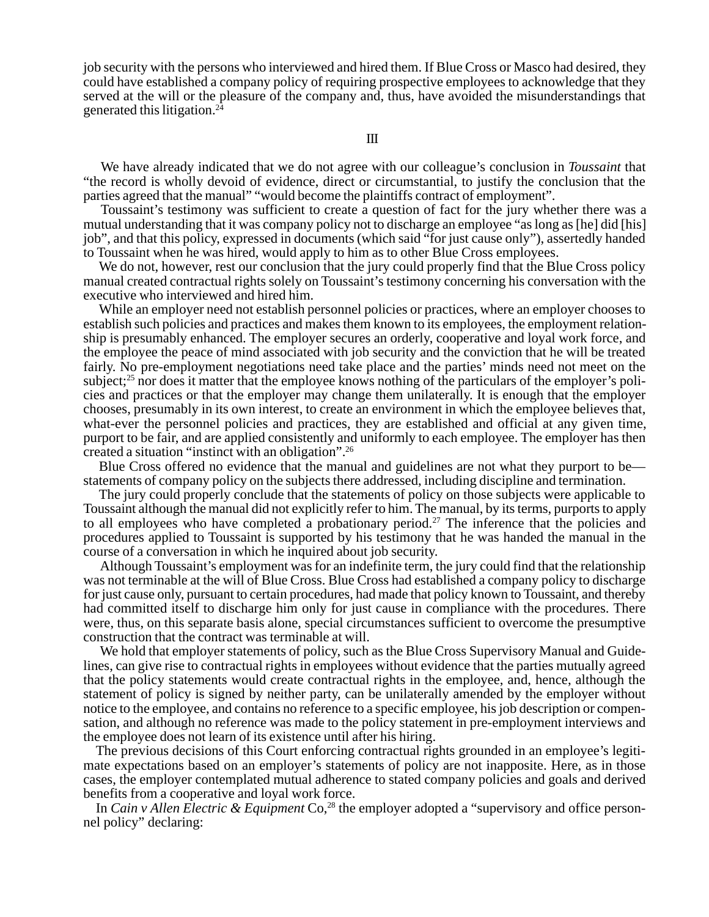job security with the persons who interviewed and hired them. If Blue Cross or Masco had desired, they could have established a company policy of requiring prospective employees to acknowledge that they served at the will or the pleasure of the company and, thus, have avoided the misunderstandings that generated this litigation.24

III

We have already indicated that we do not agree with our colleague's conclusion in *Toussaint* that "the record is wholly devoid of evidence, direct or circumstantial, to justify the conclusion that the parties agreed that the manual" "would become the plaintiffs contract of employment".

Toussaint's testimony was sufficient to create a question of fact for the jury whether there was a mutual understanding that it was company policy not to discharge an employee "as long as [he] did [his] job", and that this policy, expressed in documents (which said "for just cause only"), assertedly handed to Toussaint when he was hired, would apply to him as to other Blue Cross employees.

We do not, however, rest our conclusion that the jury could properly find that the Blue Cross policy manual created contractual rights solely on Toussaint's testimony concerning his conversation with the executive who interviewed and hired him.

While an employer need not establish personnel policies or practices, where an employer chooses to establish such policies and practices and makes them known to its employees, the employment relationship is presumably enhanced. The employer secures an orderly, cooperative and loyal work force, and the employee the peace of mind associated with job security and the conviction that he will be treated fairly. No pre-employment negotiations need take place and the parties' minds need not meet on the subject;<sup>25</sup> nor does it matter that the employee knows nothing of the particulars of the employer's policies and practices or that the employer may change them unilaterally. It is enough that the employer chooses, presumably in its own interest, to create an environment in which the employee believes that, what-ever the personnel policies and practices, they are established and official at any given time, purport to be fair, and are applied consistently and uniformly to each employee. The employer has then created a situation "instinct with an obligation".26

Blue Cross offered no evidence that the manual and guidelines are not what they purport to be statements of company policy on the subjects there addressed, including discipline and termination.

The jury could properly conclude that the statements of policy on those subjects were applicable to Toussaint although the manual did not explicitly refer to him. The manual, by its terms, purports to apply to all employees who have completed a probationary period.<sup>27</sup> The inference that the policies and procedures applied to Toussaint is supported by his testimony that he was handed the manual in the course of a conversation in which he inquired about job security.

Although Toussaint's employment was for an indefinite term, the jury could find that the relationship was not terminable at the will of Blue Cross. Blue Cross had established a company policy to discharge for just cause only, pursuant to certain procedures, had made that policy known to Toussaint, and thereby had committed itself to discharge him only for just cause in compliance with the procedures. There were, thus, on this separate basis alone, special circumstances sufficient to overcome the presumptive construction that the contract was terminable at will.

We hold that employer statements of policy, such as the Blue Cross Supervisory Manual and Guidelines, can give rise to contractual rights in employees without evidence that the parties mutually agreed that the policy statements would create contractual rights in the employee, and, hence, although the statement of policy is signed by neither party, can be unilaterally amended by the employer without notice to the employee, and contains no reference to a specific employee, his job description or compensation, and although no reference was made to the policy statement in pre-employment interviews and the employee does not learn of its existence until after his hiring.

The previous decisions of this Court enforcing contractual rights grounded in an employee's legitimate expectations based on an employer's statements of policy are not inapposite. Here, as in those cases, the employer contemplated mutual adherence to stated company policies and goals and derived benefits from a cooperative and loyal work force.

In *Cain v Allen Electric & Equipment* Co,<sup>28</sup> the employer adopted a "supervisory and office personnel policy" declaring: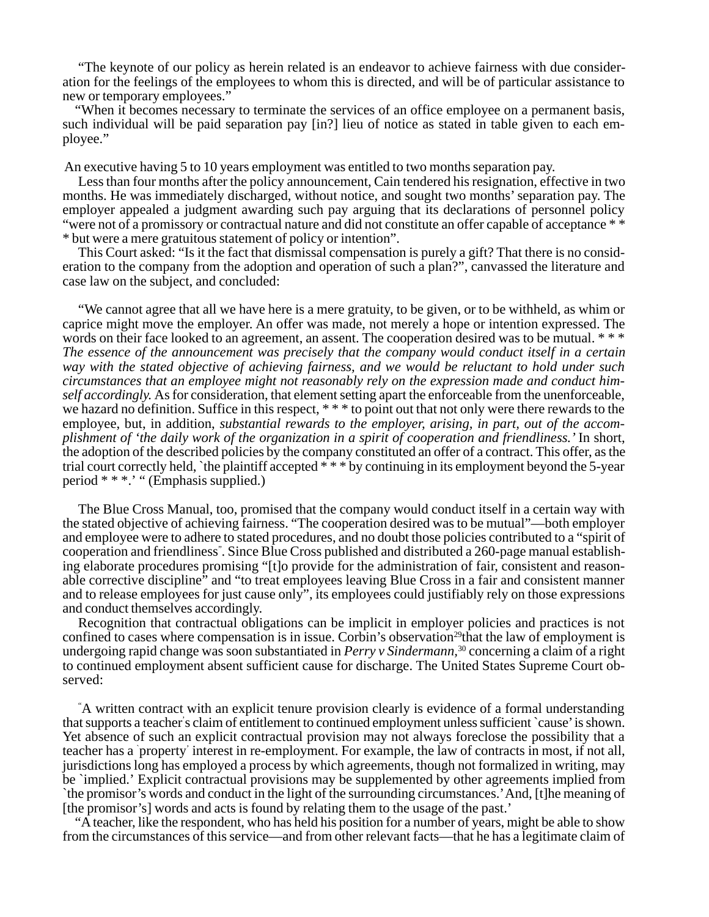"The keynote of our policy as herein related is an endeavor to achieve fairness with due consideration for the feelings of the employees to whom this is directed, and will be of particular assistance to new or temporary employees."

"When it becomes necessary to terminate the services of an office employee on a permanent basis, such individual will be paid separation pay [in?] lieu of notice as stated in table given to each employee."

An executive having 5 to 10 years employment was entitled to two months separation pay.

Less than four months after the policy announcement, Cain tendered his resignation, effective in two months. He was immediately discharged, without notice, and sought two months' separation pay. The employer appealed a judgment awarding such pay arguing that its declarations of personnel policy "were not of a promissory or contractual nature and did not constitute an offer capable of acceptance \* \* \* but were a mere gratuitous statement of policy or intention".

This Court asked: "Is it the fact that dismissal compensation is purely a gift? That there is no consideration to the company from the adoption and operation of such a plan?", canvassed the literature and case law on the subject, and concluded:

"We cannot agree that all we have here is a mere gratuity, to be given, or to be withheld, as whim or caprice might move the employer. An offer was made, not merely a hope or intention expressed. The words on their face looked to an agreement, an assent. The cooperation desired was to be mutual. \*\*\* *The essence of the announcement was precisely that the company would conduct itself in a certain way with the stated objective of achieving fairness, and we would be reluctant to hold under such circumstances that an employee might not reasonably rely on the expression made and conduct himself accordingly.* As for consideration, that element setting apart the enforceable from the unenforceable, we hazard no definition. Suffice in this respect, \*\*\* to point out that not only were there rewards to the employee, but, in addition, *substantial rewards to the employer, arising, in part, out of the accomplishment of 'the daily work of the organization in a spirit of cooperation and friendliness.'* In short, the adoption of the described policies by the company constituted an offer of a contract. This offer, as the trial court correctly held, `the plaintiff accepted  $***$ <sup>\*</sup> by continuing in its employment beyond the 5-year period \* \* \*.' " (Emphasis supplied.)

The Blue Cross Manual, too, promised that the company would conduct itself in a certain way with the stated objective of achieving fairness. "The cooperation desired was to be mutual"—both employer and employee were to adhere to stated procedures, and no doubt those policies contributed to a "spirit of cooperation and friendliness" . Since Blue Cross published and distributed a 260-page manual establishing elaborate procedures promising "[t]o provide for the administration of fair, consistent and reasonable corrective discipline" and "to treat employees leaving Blue Cross in a fair and consistent manner and to release employees for just cause only", its employees could justifiably rely on those expressions and conduct themselves accordingly.

Recognition that contractual obligations can be implicit in employer policies and practices is not confined to cases where compensation is in issue. Corbin's observation<sup>29</sup>that the law of employment is undergoing rapid change was soon substantiated in *Perry v Sindermann,*<sup>30</sup> concerning a claim of a right to continued employment absent sufficient cause for discharge. The United States Supreme Court observed:

" A written contract with an explicit tenure provision clearly is evidence of a formal understanding that supports a teacher' s claim of entitlement to continued employment unless sufficient `cause' is shown. Yet absence of such an explicit contractual provision may not always foreclose the possibility that a teacher has a ` property' interest in re-employment. For example, the law of contracts in most, if not all, jurisdictions long has employed a process by which agreements, though not formalized in writing, may be `implied.' Explicit contractual provisions may be supplemented by other agreements implied from `the promisor's words and conduct in the light of the surrounding circumstances.' And, [t]he meaning of [the promisor's] words and acts is found by relating them to the usage of the past.'

"A teacher, like the respondent, who has held his position for a number of years, might be able to show from the circumstances of this service—and from other relevant facts—that he has a legitimate claim of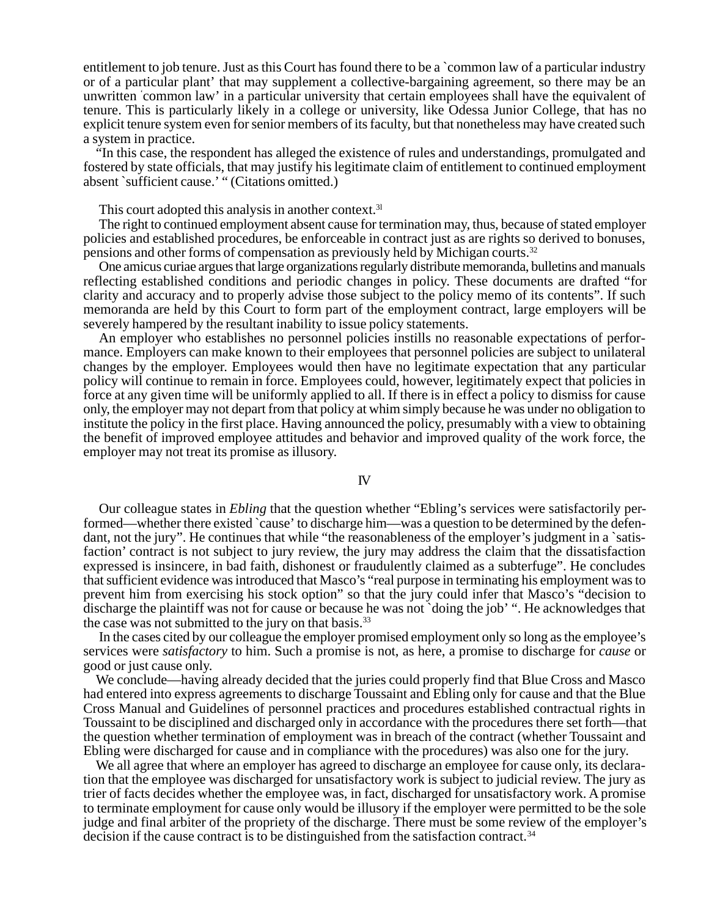entitlement to job tenure. Just as this Court has found there to be a `common law of a particular industry or of a particular plant' that may supplement a collective-bargaining agreement, so there may be an unwritten ' common law' in a particular university that certain employees shall have the equivalent of tenure. This is particularly likely in a college or university, like Odessa Junior College, that has no explicit tenure system even for senior members of its faculty, but that nonetheless may have created such a system in practice.

"In this case, the respondent has alleged the existence of rules and understandings, promulgated and fostered by state officials, that may justify his legitimate claim of entitlement to continued employment absent `sufficient cause.' " (Citations omitted.)

This court adopted this analysis in another context.<sup>31</sup>

The right to continued employment absent cause for termination may, thus, because of stated employer policies and established procedures, be enforceable in contract just as are rights so derived to bonuses, pensions and other forms of compensation as previously held by Michigan courts.32

One amicus curiae argues that large organizations regularly distribute memoranda, bulletins and manuals reflecting established conditions and periodic changes in policy. These documents are drafted "for clarity and accuracy and to properly advise those subject to the policy memo of its contents". If such memoranda are held by this Court to form part of the employment contract, large employers will be severely hampered by the resultant inability to issue policy statements.

An employer who establishes no personnel policies instills no reasonable expectations of performance. Employers can make known to their employees that personnel policies are subject to unilateral changes by the employer. Employees would then have no legitimate expectation that any particular policy will continue to remain in force. Employees could, however, legitimately expect that policies in force at any given time will be uniformly applied to all. If there is in effect a policy to dismiss for cause only, the employer may not depart from that policy at whim simply because he was under no obligation to institute the policy in the first place. Having announced the policy, presumably with a view to obtaining the benefit of improved employee attitudes and behavior and improved quality of the work force, the employer may not treat its promise as illusory.

#### IV

Our colleague states in *Ebling* that the question whether "Ebling's services were satisfactorily performed—whether there existed `cause' to discharge him—was a question to be determined by the defendant, not the jury". He continues that while "the reasonableness of the employer's judgment in a `satisfaction' contract is not subject to jury review, the jury may address the claim that the dissatisfaction expressed is insincere, in bad faith, dishonest or fraudulently claimed as a subterfuge". He concludes that sufficient evidence was introduced that Masco's "real purpose in terminating his employment was to prevent him from exercising his stock option" so that the jury could infer that Masco's "decision to discharge the plaintiff was not for cause or because he was not `doing the job' ". He acknowledges that the case was not submitted to the jury on that basis.<sup>33</sup>

In the cases cited by our colleague the employer promised employment only so long as the employee's services were *satisfactory* to him. Such a promise is not, as here, a promise to discharge for *cause* or good or just cause only.

We conclude—having already decided that the juries could properly find that Blue Cross and Masco had entered into express agreements to discharge Toussaint and Ebling only for cause and that the Blue Cross Manual and Guidelines of personnel practices and procedures established contractual rights in Toussaint to be disciplined and discharged only in accordance with the procedures there set forth—that the question whether termination of employment was in breach of the contract (whether Toussaint and Ebling were discharged for cause and in compliance with the procedures) was also one for the jury.

We all agree that where an employer has agreed to discharge an employee for cause only, its declaration that the employee was discharged for unsatisfactory work is subject to judicial review. The jury as trier of facts decides whether the employee was, in fact, discharged for unsatisfactory work. A promise to terminate employment for cause only would be illusory if the employer were permitted to be the sole judge and final arbiter of the propriety of the discharge. There must be some review of the employer's decision if the cause contract is to be distinguished from the satisfaction contract.34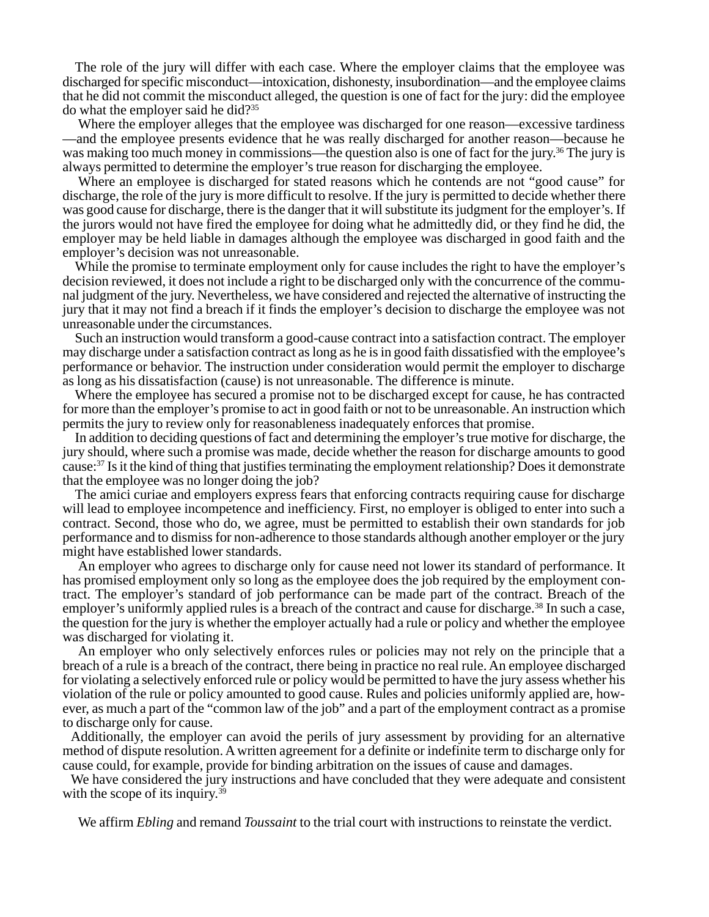The role of the jury will differ with each case. Where the employer claims that the employee was discharged for specific misconduct—intoxication, dishonesty, insubordination—and the employee claims that he did not commit the misconduct alleged, the question is one of fact for the jury: did the employee do what the employer said he did?35

Where the employer alleges that the employee was discharged for one reason—excessive tardiness —and the employee presents evidence that he was really discharged for another reason—because he was making too much money in commissions—the question also is one of fact for the jury.<sup>36</sup> The jury is always permitted to determine the employer's true reason for discharging the employee.

Where an employee is discharged for stated reasons which he contends are not "good cause" for discharge, the role of the jury is more difficult to resolve. If the jury is permitted to decide whether there was good cause for discharge, there is the danger that it will substitute its judgment for the employer's. If the jurors would not have fired the employee for doing what he admittedly did, or they find he did, the employer may be held liable in damages although the employee was discharged in good faith and the employer's decision was not unreasonable.

While the promise to terminate employment only for cause includes the right to have the employer's decision reviewed, it does not include a right to be discharged only with the concurrence of the communal judgment of the jury. Nevertheless, we have considered and rejected the alternative of instructing the jury that it may not find a breach if it finds the employer's decision to discharge the employee was not unreasonable under the circumstances.

Such an instruction would transform a good-cause contract into a satisfaction contract. The employer may discharge under a satisfaction contract as long as he is in good faith dissatisfied with the employee's performance or behavior. The instruction under consideration would permit the employer to discharge as long as his dissatisfaction (cause) is not unreasonable. The difference is minute.

Where the employee has secured a promise not to be discharged except for cause, he has contracted for more than the employer's promise to act in good faith or not to be unreasonable. An instruction which permits the jury to review only for reasonableness inadequately enforces that promise.

In addition to deciding questions of fact and determining the employer's true motive for discharge, the jury should, where such a promise was made, decide whether the reason for discharge amounts to good cause:37 Is it the kind of thing that justifies terminating the employment relationship? Does it demonstrate that the employee was no longer doing the job?

The amici curiae and employers express fears that enforcing contracts requiring cause for discharge will lead to employee incompetence and inefficiency. First, no employer is obliged to enter into such a contract. Second, those who do, we agree, must be permitted to establish their own standards for job performance and to dismiss for non-adherence to those standards although another employer or the jury might have established lower standards.

An employer who agrees to discharge only for cause need not lower its standard of performance. It has promised employment only so long as the employee does the job required by the employment contract. The employer's standard of job performance can be made part of the contract. Breach of the employer's uniformly applied rules is a breach of the contract and cause for discharge.<sup>38</sup> In such a case, the question for the jury is whether the employer actually had a rule or policy and whether the employee was discharged for violating it.

An employer who only selectively enforces rules or policies may not rely on the principle that a breach of a rule is a breach of the contract, there being in practice no real rule. An employee discharged for violating a selectively enforced rule or policy would be permitted to have the jury assess whether his violation of the rule or policy amounted to good cause. Rules and policies uniformly applied are, however, as much a part of the "common law of the job" and a part of the employment contract as a promise to discharge only for cause.

Additionally, the employer can avoid the perils of jury assessment by providing for an alternative method of dispute resolution. A written agreement for a definite or indefinite term to discharge only for cause could, for example, provide for binding arbitration on the issues of cause and damages.

We have considered the jury instructions and have concluded that they were adequate and consistent with the scope of its inquiry.<sup>39</sup>

We affirm *Ebling* and remand *Toussaint* to the trial court with instructions to reinstate the verdict.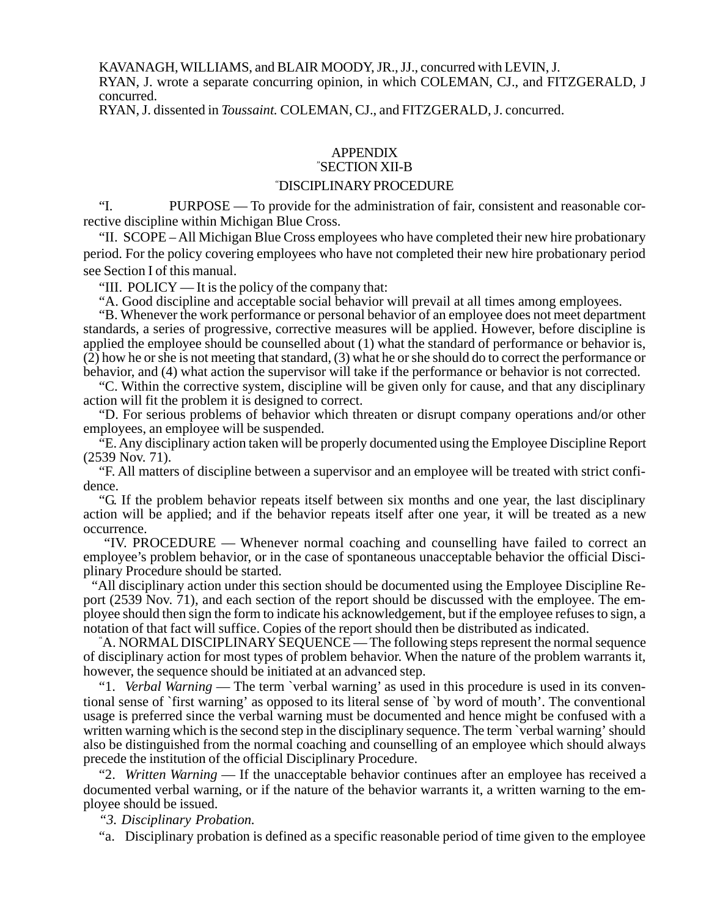KAVANAGH, WILLIAMS, and BLAIR MOODY, JR., JJ., concurred with LEVIN, J.

RYAN, J. wrote a separate concurring opinion, in which COLEMAN, CJ., and FITZGERALD, J concurred.

RYAN, J. dissented in *Toussaint.* COLEMAN, CJ., and FITZGERALD, J. concurred.

### APPENDIX " SECTION XII-B

## " DISCIPLINARY PROCEDURE

"I. PURPOSE — To provide for the administration of fair, consistent and reasonable corrective discipline within Michigan Blue Cross.

"II. SCOPE – All Michigan Blue Cross employees who have completed their new hire probationary period. For the policy covering employees who have not completed their new hire probationary period see Section I of this manual.

"III. POLICY — It is the policy of the company that:

"A. Good discipline and acceptable social behavior will prevail at all times among employees.

"B. Whenever the work performance or personal behavior of an employee does not meet department standards, a series of progressive, corrective measures will be applied. However, before discipline is applied the employee should be counselled about (1) what the standard of performance or behavior is, (2) how he or she is not meeting that standard, (3) what he or she should do to correct the performance or behavior, and (4) what action the supervisor will take if the performance or behavior is not corrected.

"C. Within the corrective system, discipline will be given only for cause, and that any disciplinary action will fit the problem it is designed to correct.

"D. For serious problems of behavior which threaten or disrupt company operations and/or other employees, an employee will be suspended.

"E. Any disciplinary action taken will be properly documented using the Employee Discipline Report (2539 Nov. 71).

"F. All matters of discipline between a supervisor and an employee will be treated with strict confidence.

"G. If the problem behavior repeats itself between six months and one year, the last disciplinary action will be applied; and if the behavior repeats itself after one year, it will be treated as a new occurrence.

"IV. PROCEDURE — Whenever normal coaching and counselling have failed to correct an employee's problem behavior, or in the case of spontaneous unacceptable behavior the official Disciplinary Procedure should be started.

"All disciplinary action under this section should be documented using the Employee Discipline Report (2539 Nov. 71), and each section of the report should be discussed with the employee. The employee should then sign the form to indicate his acknowledgement, but if the employee refuses to sign, a notation of that fact will suffice. Copies of the report should then be distributed as indicated.

" A. NORMAL DISCIPLINARY SEQUENCE — The following steps represent the normal sequence of disciplinary action for most types of problem behavior. When the nature of the problem warrants it, however, the sequence should be initiated at an advanced step.

"1. *Verbal Warning* — The term `verbal warning' as used in this procedure is used in its conventional sense of `first warning' as opposed to its literal sense of `by word of mouth'. The conventional usage is preferred since the verbal warning must be documented and hence might be confused with a written warning which is the second step in the disciplinary sequence. The term `verbal warning' should also be distinguished from the normal coaching and counselling of an employee which should always precede the institution of the official Disciplinary Procedure.

"2. *Written Warning* — If the unacceptable behavior continues after an employee has received a documented verbal warning, or if the nature of the behavior warrants it, a written warning to the employee should be issued.

*"3. Disciplinary Probation.*

"a. Disciplinary probation is defined as a specific reasonable period of time given to the employee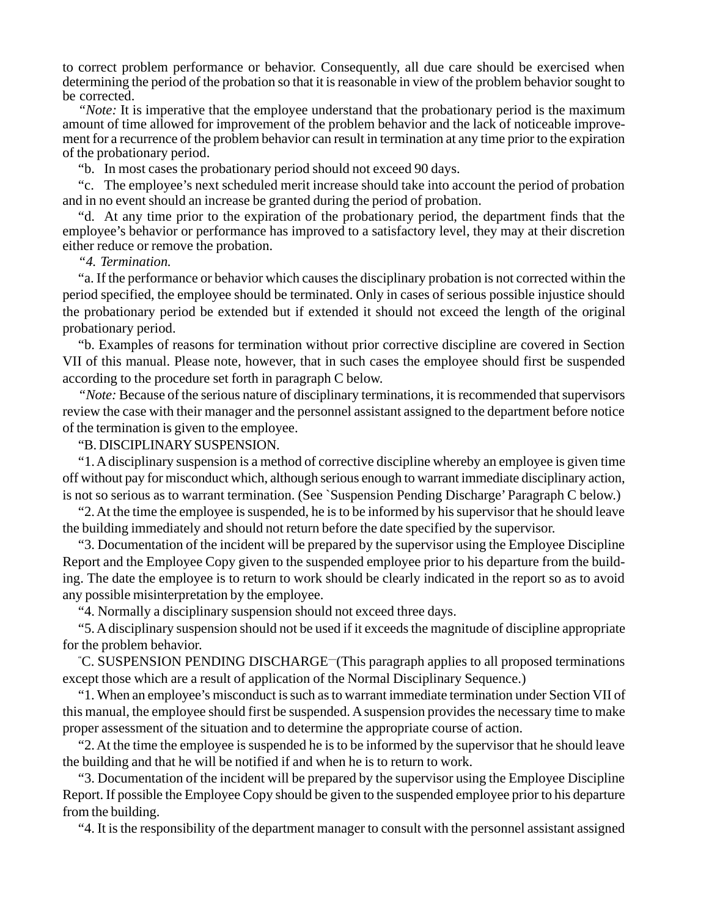to correct problem performance or behavior. Consequently, all due care should be exercised when determining the period of the probation so that it is reasonable in view of the problem behavior sought to be corrected.

*"Note:* It is imperative that the employee understand that the probationary period is the maximum amount of time allowed for improvement of the problem behavior and the lack of noticeable improvement for a recurrence of the problem behavior can result in termination at any time prior to the expiration of the probationary period.

"b. In most cases the probationary period should not exceed 90 days.

"c. The employee's next scheduled merit increase should take into account the period of probation and in no event should an increase be granted during the period of probation.

"d. At any time prior to the expiration of the probationary period, the department finds that the employee's behavior or performance has improved to a satisfactory level, they may at their discretion either reduce or remove the probation.

*"4. Termination.*

"a. If the performance or behavior which causes the disciplinary probation is not corrected within the period specified, the employee should be terminated. Only in cases of serious possible injustice should the probationary period be extended but if extended it should not exceed the length of the original probationary period.

"b. Examples of reasons for termination without prior corrective discipline are covered in Section VII of this manual. Please note, however, that in such cases the employee should first be suspended according to the procedure set forth in paragraph C below.

*"Note:* Because of the serious nature of disciplinary terminations, it is recommended that supervisors review the case with their manager and the personnel assistant assigned to the department before notice of the termination is given to the employee.

"B. DISCIPLINARY SUSPENSION.

"1. A disciplinary suspension is a method of corrective discipline whereby an employee is given time off without pay for misconduct which, although serious enough to warrant immediate disciplinary action, is not so serious as to warrant termination. (See `Suspension Pending Discharge' Paragraph C below.)

"2. At the time the employee is suspended, he is to be informed by his supervisor that he should leave the building immediately and should not return before the date specified by the supervisor.

"3. Documentation of the incident will be prepared by the supervisor using the Employee Discipline Report and the Employee Copy given to the suspended employee prior to his departure from the building. The date the employee is to return to work should be clearly indicated in the report so as to avoid any possible misinterpretation by the employee.

"4. Normally a disciplinary suspension should not exceed three days.

"5. A disciplinary suspension should not be used if it exceeds the magnitude of discipline appropriate for the problem behavior.

" C. SUSPENSION PENDING DISCHARGE—(This paragraph applies to all proposed terminations except those which are a result of application of the Normal Disciplinary Sequence.)

"1. When an employee's misconduct is such as to warrant immediate termination under Section VII of this manual, the employee should first be suspended. A suspension provides the necessary time to make proper assessment of the situation and to determine the appropriate course of action.

"2. At the time the employee is suspended he is to be informed by the supervisor that he should leave the building and that he will be notified if and when he is to return to work.

"3. Documentation of the incident will be prepared by the supervisor using the Employee Discipline Report. If possible the Employee Copy should be given to the suspended employee prior to his departure from the building.

"4. It is the responsibility of the department manager to consult with the personnel assistant assigned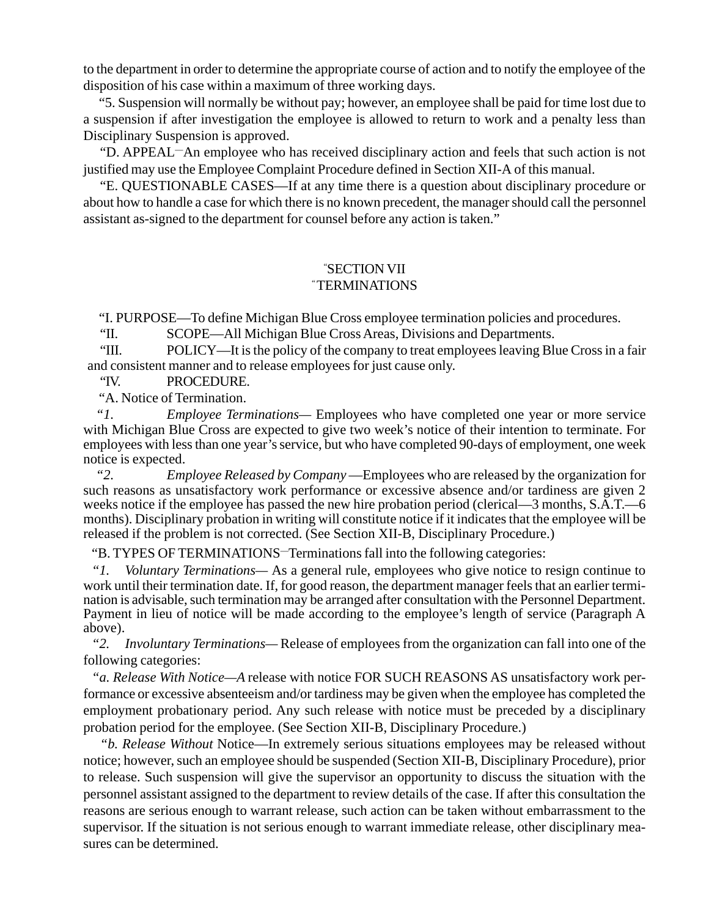to the department in order to determine the appropriate course of action and to notify the employee of the disposition of his case within a maximum of three working days.

"5. Suspension will normally be without pay; however, an employee shall be paid for time lost due to a suspension if after investigation the employee is allowed to return to work and a penalty less than Disciplinary Suspension is approved.

"D. APPEAL—An employee who has received disciplinary action and feels that such action is not justified may use the Employee Complaint Procedure defined in Section XII-A of this manual.

"E. QUESTIONABLE CASES—If at any time there is a question about disciplinary procedure or about how to handle a case for which there is no known precedent, the manager should call the personnel assistant as-signed to the department for counsel before any action is taken."

### " SECTION VII

### " TERMINATIONS

"I. PURPOSE—To define Michigan Blue Cross employee termination policies and procedures.

"II. SCOPE—All Michigan Blue Cross Areas, Divisions and Departments.

"III. POLICY—It is the policy of the company to treat employees leaving Blue Cross in a fair and consistent manner and to release employees for just cause only.

"IV. PROCEDURE.

"A. Notice of Termination.

*"1. Employee Terminations—* Employees who have completed one year or more service with Michigan Blue Cross are expected to give two week's notice of their intention to terminate. For employees with less than one year's service, but who have completed 90-days of employment, one week notice is expected.

*"2. Employee Released by Company* —Employees who are released by the organization for such reasons as unsatisfactory work performance or excessive absence and/or tardiness are given 2 weeks notice if the employee has passed the new hire probation period (clerical—3 months, S.A.T.—6 months). Disciplinary probation in writing will constitute notice if it indicates that the employee will be released if the problem is not corrected. (See Section XII-B, Disciplinary Procedure.)

"B. TYPES OF TERMINATIONS—Terminations fall into the following categories:

*"1. Voluntary Terminations—* As a general rule, employees who give notice to resign continue to work until their termination date. If, for good reason, the department manager feels that an earlier termination is advisable, such termination may be arranged after consultation with the Personnel Department. Payment in lieu of notice will be made according to the employee's length of service (Paragraph A above).

*"2. Involuntary Terminations—* Release of employees from the organization can fall into one of the following categories:

*"a. Release With Notice—A* release with notice FOR SUCH REASONS AS unsatisfactory work performance or excessive absenteeism and/or tardiness may be given when the employee has completed the employment probationary period. Any such release with notice must be preceded by a disciplinary probation period for the employee. (See Section XII-B, Disciplinary Procedure.)

*"b. Release Without* Notice—In extremely serious situations employees may be released without notice; however, such an employee should be suspended (Section XII-B, Disciplinary Procedure), prior to release. Such suspension will give the supervisor an opportunity to discuss the situation with the personnel assistant assigned to the department to review details of the case. If after this consultation the reasons are serious enough to warrant release, such action can be taken without embarrassment to the supervisor. If the situation is not serious enough to warrant immediate release, other disciplinary measures can be determined.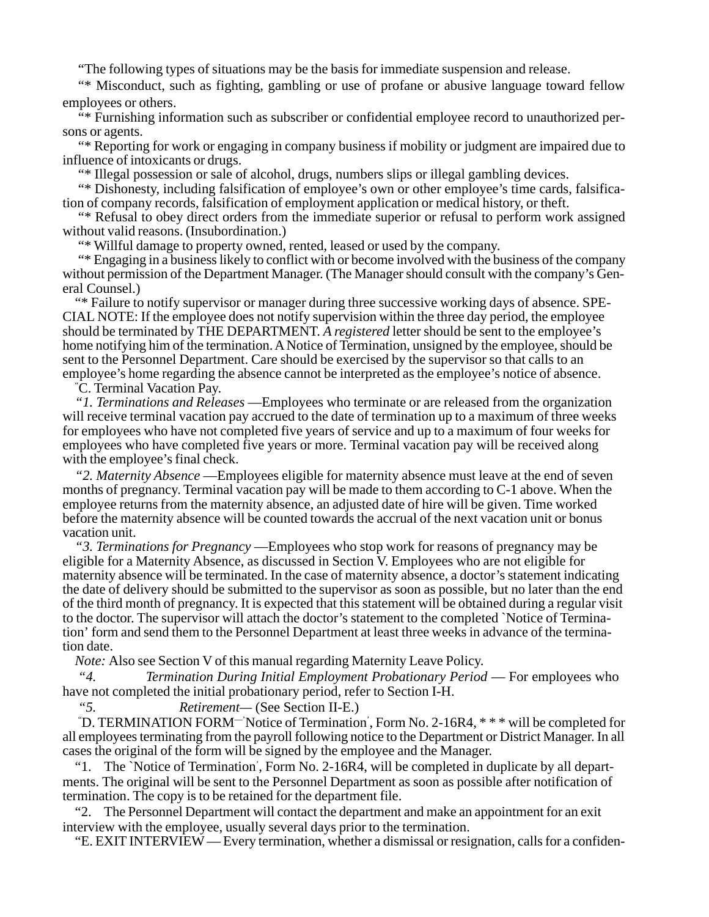"The following types of situations may be the basis for immediate suspension and release.

"\* Misconduct, such as fighting, gambling or use of profane or abusive language toward fellow employees or others.

"\* Furnishing information such as subscriber or confidential employee record to unauthorized persons or agents.

"\* Reporting for work or engaging in company business if mobility or judgment are impaired due to influence of intoxicants or drugs.

"\* Illegal possession or sale of alcohol, drugs, numbers slips or illegal gambling devices.

"\* Dishonesty, including falsification of employee's own or other employee's time cards, falsification of company records, falsification of employment application or medical history, or theft.

"\* Refusal to obey direct orders from the immediate superior or refusal to perform work assigned without valid reasons. (Insubordination.)

"\* Willful damage to property owned, rented, leased or used by the company.

"\* Engaging in a business likely to conflict with or become involved with the business of the company without permission of the Department Manager. (The Manager should consult with the company's General Counsel.)

"\* Failure to notify supervisor or manager during three successive working days of absence. SPE-CIAL NOTE: If the employee does not notify supervision within the three day period, the employee should be terminated by THE DEPARTMENT. *A registered* letter should be sent to the employee's home notifying him of the termination. A Notice of Termination, unsigned by the employee, should be sent to the Personnel Department. Care should be exercised by the supervisor so that calls to an employee's home regarding the absence cannot be interpreted as the employee's notice of absence.

" C. Terminal Vacation Pay.

*"1. Terminations and Releases* —Employees who terminate or are released from the organization will receive terminal vacation pay accrued to the date of termination up to a maximum of three weeks for employees who have not completed five years of service and up to a maximum of four weeks for employees who have completed five years or more. Terminal vacation pay will be received along with the employee's final check.

*"2. Maternity Absence* —Employees eligible for maternity absence must leave at the end of seven months of pregnancy. Terminal vacation pay will be made to them according to C-1 above. When the employee returns from the maternity absence, an adjusted date of hire will be given. Time worked before the maternity absence will be counted towards the accrual of the next vacation unit or bonus vacation unit.

*"3. Terminations for Pregnancy* —Employees who stop work for reasons of pregnancy may be eligible for a Maternity Absence, as discussed in Section V. Employees who are not eligible for maternity absence will be terminated. In the case of maternity absence, a doctor's statement indicating the date of delivery should be submitted to the supervisor as soon as possible, but no later than the end of the third month of pregnancy. It is expected that this statement will be obtained during a regular visit to the doctor. The supervisor will attach the doctor's statement to the completed `Notice of Termination' form and send them to the Personnel Department at least three weeks in advance of the termination date.

*Note:* Also see Section V of this manual regarding Maternity Leave Policy.

*"4. Termination During Initial Employment Probationary Period* — For employees who have not completed the initial probationary period, refer to Section I-H.

*"5. Retirement—* (See Section II-E.)

" D. TERMINATION FORM—'Notice of Termination' , Form No. 2-16R4, \* \* \* will be completed for all employees terminating from the payroll following notice to the Department or District Manager. In all cases the original of the form will be signed by the employee and the Manager.

"1. The `Notice of Termination' , Form No. 2-16R4, will be completed in duplicate by all departments. The original will be sent to the Personnel Department as soon as possible after notification of termination. The copy is to be retained for the department file.

"2. The Personnel Department will contact the department and make an appointment for an exit interview with the employee, usually several days prior to the termination.

"E. EXIT INTERVIEW — Every termination, whether a dismissal or resignation, calls for a confiden-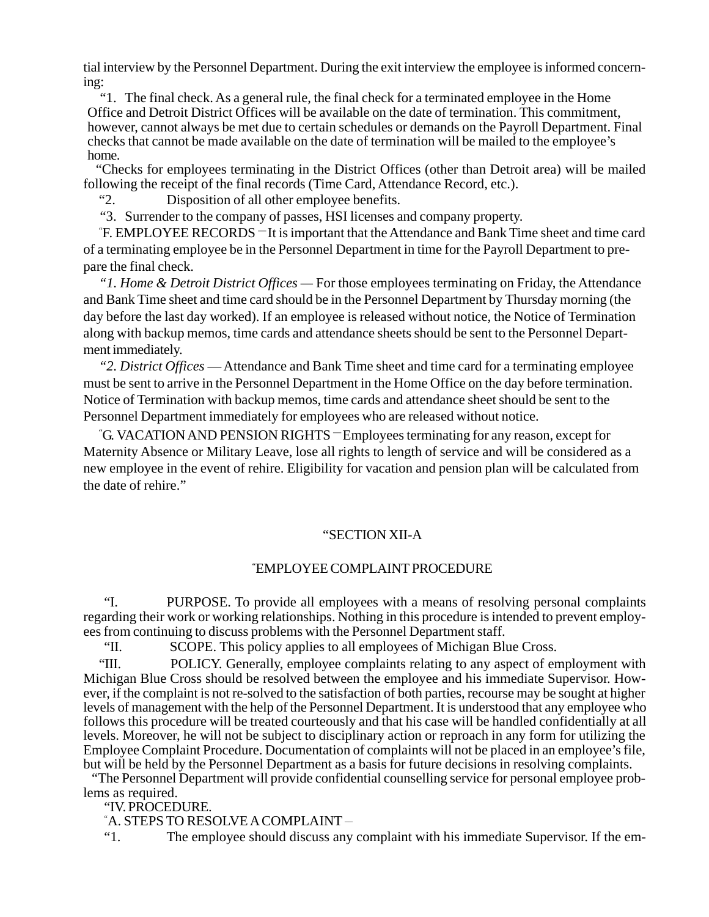tial interview by the Personnel Department. During the exit interview the employee is informed concerning:

"1. The final check. As a general rule, the final check for a terminated employee in the Home Office and Detroit District Offices will be available on the date of termination. This commitment, however, cannot always be met due to certain schedules or demands on the Payroll Department. Final checks that cannot be made available on the date of termination will be mailed to the employee's home.

"Checks for employees terminating in the District Offices (other than Detroit area) will be mailed following the receipt of the final records (Time Card, Attendance Record, etc.).

"2. Disposition of all other employee benefits.

"3. Surrender to the company of passes, HSI licenses and company property.

" F. EMPLOYEE RECORDS — It is important that the Attendance and Bank Time sheet and time card of a terminating employee be in the Personnel Department in time for the Payroll Department to prepare the final check.

*"1. Home & Detroit District Offices —* For those employees terminating on Friday, the Attendance and Bank Time sheet and time card should be in the Personnel Department by Thursday morning (the day before the last day worked). If an employee is released without notice, the Notice of Termination along with backup memos, time cards and attendance sheets should be sent to the Personnel Department immediately.

*"2. District Offices* — Attendance and Bank Time sheet and time card for a terminating employee must be sent to arrive in the Personnel Department in the Home Office on the day before termination. Notice of Termination with backup memos, time cards and attendance sheet should be sent to the Personnel Department immediately for employees who are released without notice.

" G. VACATION AND PENSION RIGHTS — Employees terminating for any reason, except for Maternity Absence or Military Leave, lose all rights to length of service and will be considered as a new employee in the event of rehire. Eligibility for vacation and pension plan will be calculated from the date of rehire."

### "SECTION XII-A

#### " EMPLOYEE COMPLAINT PROCEDURE

"I. PURPOSE. To provide all employees with a means of resolving personal complaints regarding their work or working relationships. Nothing in this procedure is intended to prevent employees from continuing to discuss problems with the Personnel Department staff.

"II. SCOPE. This policy applies to all employees of Michigan Blue Cross.

"III. POLICY. Generally, employee complaints relating to any aspect of employment with Michigan Blue Cross should be resolved between the employee and his immediate Supervisor. However, if the complaint is not re-solved to the satisfaction of both parties, recourse may be sought at higher levels of management with the help of the Personnel Department. It is understood that any employee who follows this procedure will be treated courteously and that his case will be handled confidentially at all levels. Moreover, he will not be subject to disciplinary action or reproach in any form for utilizing the Employee Complaint Procedure. Documentation of complaints will not be placed in an employee's file, but will be held by the Personnel Department as a basis for future decisions in resolving complaints.

"The Personnel Department will provide confidential counselling service for personal employee problems as required.

"IV. PROCEDURE.

"A. STEPS TO RESOLVE A COMPLAINT –

"1. The employee should discuss any complaint with his immediate Supervisor. If the em-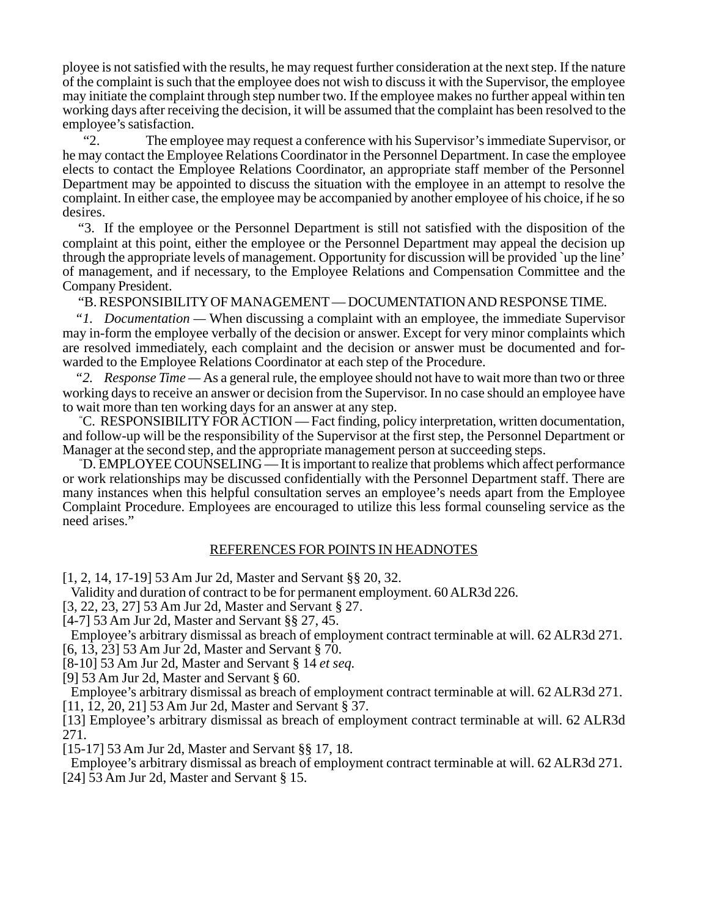ployee is not satisfied with the results, he may request further consideration at the next step. If the nature of the complaint is such that the employee does not wish to discuss it with the Supervisor, the employee may initiate the complaint through step number two. If the employee makes no further appeal within ten working days after receiving the decision, it will be assumed that the complaint has been resolved to the employee's satisfaction.

"2. The employee may request a conference with his Supervisor's immediate Supervisor, or he may contact the Employee Relations Coordinator in the Personnel Department. In case the employee elects to contact the Employee Relations Coordinator, an appropriate staff member of the Personnel Department may be appointed to discuss the situation with the employee in an attempt to resolve the complaint. In either case, the employee may be accompanied by another employee of his choice, if he so desires.

"3. If the employee or the Personnel Department is still not satisfied with the disposition of the complaint at this point, either the employee or the Personnel Department may appeal the decision up through the appropriate levels of management. Opportunity for discussion will be provided `up the line' of management, and if necessary, to the Employee Relations and Compensation Committee and the Company President.

"B. RESPONSIBILITY OF MANAGEMENT — DOCUMENTATION AND RESPONSE TIME.

*"1. Documentation —* When discussing a complaint with an employee, the immediate Supervisor may in-form the employee verbally of the decision or answer. Except for very minor complaints which are resolved immediately, each complaint and the decision or answer must be documented and forwarded to the Employee Relations Coordinator at each step of the Procedure.

*"2. Response Time —* As a general rule, the employee should not have to wait more than two or three working days to receive an answer or decision from the Supervisor. In no case should an employee have to wait more than ten working days for an answer at any step.

" C. RESPONSIBILITY FOR ACTION — Fact finding, policy interpretation, written documentation, and follow-up will be the responsibility of the Supervisor at the first step, the Personnel Department or Manager at the second step, and the appropriate management person at succeeding steps.

" D. EMPLOYEE COUNSELING — It is important to realize that problems which affect performance or work relationships may be discussed confidentially with the Personnel Department staff. There are many instances when this helpful consultation serves an employee's needs apart from the Employee Complaint Procedure. Employees are encouraged to utilize this less formal counseling service as the need arises."

#### REFERENCES FOR POINTS IN HEADNOTES

[1, 2, 14, 17-19] 53 Am Jur 2d, Master and Servant §§ 20, 32.

Validity and duration of contract to be for permanent employment. 60 ALR3d 226.

[3, 22, 23, 27] 53 Am Jur 2d, Master and Servant § 27.

[4-7] 53 Am Jur 2d, Master and Servant §§ 27, 45.

Employee's arbitrary dismissal as breach of employment contract terminable at will. 62 ALR3d 271. [6, 13, 23] 53 Am Jur 2d, Master and Servant § 70.

[8-10] 53 Am Jur 2d, Master and Servant § 14 *et seq.*

[9] 53 Am Jur 2d, Master and Servant § 60.

Employee's arbitrary dismissal as breach of employment contract terminable at will. 62 ALR3d 271. [11, 12, 20, 21] 53 Am Jur 2d, Master and Servant § 37.

[13] Employee's arbitrary dismissal as breach of employment contract terminable at will. 62 ALR3d 271.

[15-17] 53 Am Jur 2d, Master and Servant §§ 17, 18.

Employee's arbitrary dismissal as breach of employment contract terminable at will. 62 ALR3d 271. [24] 53 Am Jur 2d, Master and Servant § 15.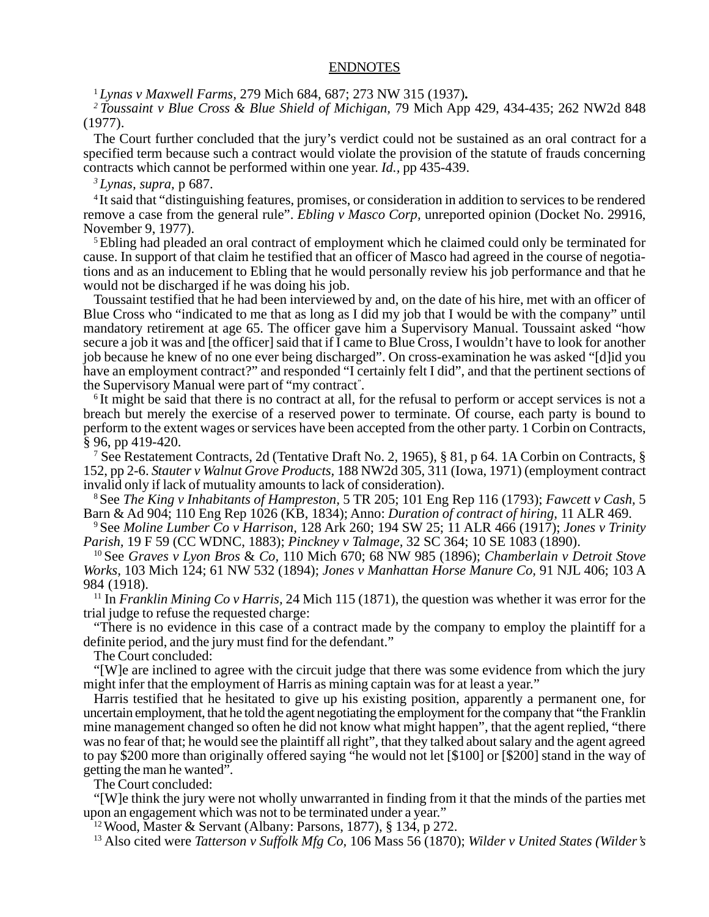#### ENDNOTES

<sup>1</sup>*Lynas v Maxwell Farms,* 279 Mich 684, 687; 273 NW 315 (1937)**.**

*2 Toussaint v Blue Cross & Blue Shield of Michigan,* 79 Mich App 429, 434-435; 262 NW2d 848 (1977).

The Court further concluded that the jury's verdict could not be sustained as an oral contract for a specified term because such a contract would violate the provision of the statute of frauds concerning contracts which cannot be performed within one year. *Id.,* pp 435-439.

*3 Lynas, supra,* p 687.

4 It said that "distinguishing features, promises, or consideration in addition to services to be rendered remove a case from the general rule". *Ebling v Masco Corp,* unreported opinion (Docket No. 29916, November 9, 1977).

5 Ebling had pleaded an oral contract of employment which he claimed could only be terminated for cause. In support of that claim he testified that an officer of Masco had agreed in the course of negotiations and as an inducement to Ebling that he would personally review his job performance and that he would not be discharged if he was doing his job.

Toussaint testified that he had been interviewed by and, on the date of his hire, met with an officer of Blue Cross who "indicated to me that as long as I did my job that I would be with the company" until mandatory retirement at age 65. The officer gave him a Supervisory Manual. Toussaint asked "how secure a job it was and [the officer] said that if I came to Blue Cross, I wouldn't have to look for another job because he knew of no one ever being discharged". On cross-examination he was asked "[d]id you have an employment contract?" and responded "I certainly felt I did", and that the pertinent sections of the Supervisory Manual were part of "my contract" .

<sup>6</sup>It might be said that there is no contract at all, for the refusal to perform or accept services is not a breach but merely the exercise of a reserved power to terminate. Of course, each party is bound to perform to the extent wages or services have been accepted from the other party. 1 Corbin on Contracts, § 96, pp 419-420.

7 See Restatement Contracts, 2d (Tentative Draft No. 2, 1965), § 81, p 64. 1A Corbin on Contracts, § 152, pp 2-6. *Stauter v Walnut Grove Products,* 188 NW2d 305, 311 (Iowa, 1971) (employment contract invalid only if lack of mutuality amounts to lack of consideration).

8 See *The King v Inhabitants of Hampreston,* 5 TR 205; 101 Eng Rep 116 (1793); *Fawcett v Cash,* 5 Barn & Ad 904; 110 Eng Rep 1026 (KB, 1834); Anno: *Duration of contract of hiring,* 11 ALR 469.

9 See *Moline Lumber Co v Harrison,* 128 Ark 260; 194 SW 25; 11 ALR 466 (1917); *Jones v Trinity Parish,* 19 F 59 (CC WDNC, 1883); *Pinckney v Talmage,* 32 SC 364; 10 SE 1083 (1890).

10 See *Graves v Lyon Bros* & *Co,* 110 Mich 670; 68 NW 985 (1896); *Chamberlain v Detroit Stove Works,* 103 Mich 124; 61 NW 532 (1894); *Jones v Manhattan Horse Manure Co,* 91 NJL 406; 103 A 984 (1918).

<sup>11</sup> In *Franklin Mining Co v Harris,* 24 Mich 115 (1871), the question was whether it was error for the trial judge to refuse the requested charge:

"There is no evidence in this case of a contract made by the company to employ the plaintiff for a definite period, and the jury must find for the defendant."

The Court concluded:

"[W]e are inclined to agree with the circuit judge that there was some evidence from which the jury might infer that the employment of Harris as mining captain was for at least a year."

Harris testified that he hesitated to give up his existing position, apparently a permanent one, for uncertain employment, that he told the agent negotiating the employment for the company that "the Franklin mine management changed so often he did not know what might happen", that the agent replied, "there was no fear of that; he would see the plaintiff all right", that they talked about salary and the agent agreed to pay \$200 more than originally offered saying "he would not let [\$100] or [\$200] stand in the way of getting the man he wanted".

The Court concluded:

"[W]e think the jury were not wholly unwarranted in finding from it that the minds of the parties met upon an engagement which was not to be terminated under a year."

12 Wood, Master & Servant (Albany: Parsons, 1877), § 134, p 272.

13 Also cited were *Tatterson v Suffolk Mfg Co,* 106 Mass 56 (1870); *Wilder v United States (Wilder's*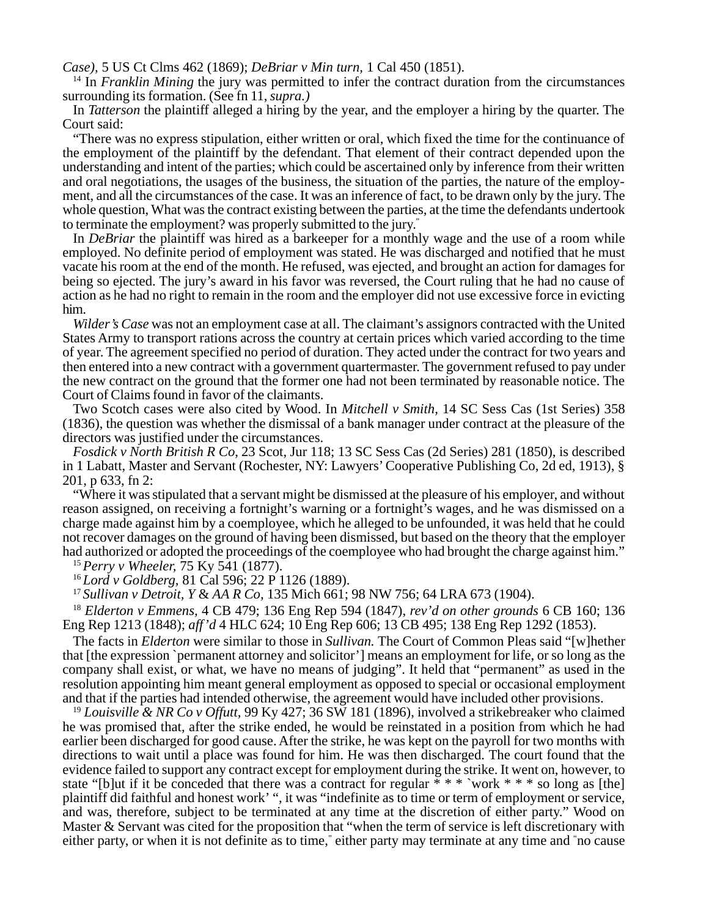*Case),* 5 US Ct Clms 462 (1869); *DeBriar v Min turn,* 1 Cal 450 (1851).

<sup>14</sup> In *Franklin Mining* the jury was permitted to infer the contract duration from the circumstances surrounding its formation. (See fn 11, *supra.)*

In *Tatterson* the plaintiff alleged a hiring by the year, and the employer a hiring by the quarter. The Court said:

"There was no express stipulation, either written or oral, which fixed the time for the continuance of the employment of the plaintiff by the defendant. That element of their contract depended upon the understanding and intent of the parties; which could be ascertained only by inference from their written and oral negotiations, the usages of the business, the situation of the parties, the nature of the employment, and all the circumstances of the case. It was an inference of fact, to be drawn only by the jury. The whole question, What was the contract existing between the parties, at the time the defendants undertook to terminate the employment? was properly submitted to the jury."

In *DeBriar* the plaintiff was hired as a barkeeper for a monthly wage and the use of a room while employed. No definite period of employment was stated. He was discharged and notified that he must vacate his room at the end of the month. He refused, was ejected, and brought an action for damages for being so ejected. The jury's award in his favor was reversed, the Court ruling that he had no cause of action as he had no right to remain in the room and the employer did not use excessive force in evicting him.

*Wilder's Case* was not an employment case at all. The claimant's assignors contracted with the United States Army to transport rations across the country at certain prices which varied according to the time of year. The agreement specified no period of duration. They acted under the contract for two years and then entered into a new contract with a government quartermaster. The government refused to pay under the new contract on the ground that the former one had not been terminated by reasonable notice. The Court of Claims found in favor of the claimants.

Two Scotch cases were also cited by Wood. In *Mitchell v Smith,* 14 SC Sess Cas (1st Series) 358 (1836), the question was whether the dismissal of a bank manager under contract at the pleasure of the directors was justified under the circumstances.

*Fosdick v North British R Co,* 23 Scot, Jur 118; 13 SC Sess Cas (2d Series) 281 (1850), is described in 1 Labatt, Master and Servant (Rochester, NY: Lawyers' Cooperative Publishing Co, 2d ed, 1913), § 201, p 633, fn 2:

"Where it was stipulated that a servant might be dismissed at the pleasure of his employer, and without reason assigned, on receiving a fortnight's warning or a fortnight's wages, and he was dismissed on a charge made against him by a coemployee, which he alleged to be unfounded, it was held that he could not recover damages on the ground of having been dismissed, but based on the theory that the employer had authorized or adopted the proceedings of the coemployee who had brought the charge against him."

<sup>15</sup>*Perry v Wheeler,* 75 Ky 541 (1877).

<sup>16</sup>*Lord v Goldberg,* 81 Cal 596; 22 P 1126 (1889).

<sup>17</sup>*Sullivan v Detroit, Y* & *AA R Co,* 135 Mich 661; 98 NW 756; 64 LRA 673 (1904).

<sup>18</sup> *Elderton v Emmens,* 4 CB 479; 136 Eng Rep 594 (1847), *rev'd on other grounds* 6 CB 160; 136 Eng Rep 1213 (1848); *aff'd* 4 HLC 624; 10 Eng Rep 606; 13 CB 495; 138 Eng Rep 1292 (1853).

The facts in *Elderton* were similar to those in *Sullivan.* The Court of Common Pleas said "[w]hether that [the expression `permanent attorney and solicitor'] means an employment for life, or so long as the company shall exist, or what, we have no means of judging". It held that "permanent" as used in the resolution appointing him meant general employment as opposed to special or occasional employment and that if the parties had intended otherwise, the agreement would have included other provisions.

<sup>19</sup> *Louisville & NR Co v Offutt,* 99 Ky 427; 36 SW 181 (1896), involved a strikebreaker who claimed he was promised that, after the strike ended, he would be reinstated in a position from which he had earlier been discharged for good cause. After the strike, he was kept on the payroll for two months with directions to wait until a place was found for him. He was then discharged. The court found that the evidence failed to support any contract except for employment during the strike. It went on, however, to state "[b]ut if it be conceded that there was a contract for regular  $* * * \text{ work} * * * \text{ so long as [the]}$ plaintiff did faithful and honest work' ", it was "indefinite as to time or term of employment or service, and was, therefore, subject to be terminated at any time at the discretion of either party." Wood on Master & Servant was cited for the proposition that "when the term of service is left discretionary with either party, or when it is not definite as to time," either party may terminate at any time and "no cause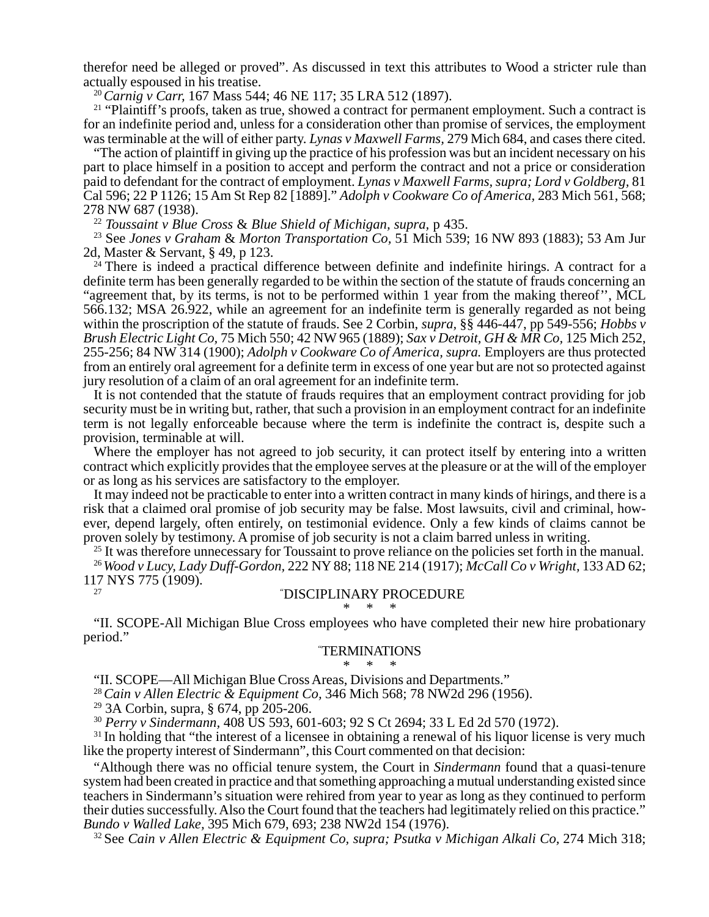therefor need be alleged or proved". As discussed in text this attributes to Wood a stricter rule than actually espoused in his treatise.

<sup>20</sup>*Carnig v Carr,* 167 Mass 544; 46 NE 117; 35 LRA 512 (1897).

<sup>21</sup> "Plaintiff's proofs, taken as true, showed a contract for permanent employment. Such a contract is for an indefinite period and, unless for a consideration other than promise of services, the employment was terminable at the will of either party. *Lynas v Maxwell Farms,* 279 Mich 684, and cases there cited.

"The action of plaintiff in giving up the practice of his profession was but an incident necessary on his part to place himself in a position to accept and perform the contract and not a price or consideration paid to defendant for the contract of employment. *Lynas v Maxwell Farms, supra; Lord v Goldberg,* 81 Cal 596; 22 P 1126; 15 Am St Rep 82 [1889]." *Adolph v Cookware Co of America,* 283 Mich 561, 568; 278 NW 687 (1938).

<sup>22</sup> *Toussaint v Blue Cross* & *Blue Shield of Michigan, supra,* p 435.

23 See *Jones v Graham* & *Morton Transportation Co,* 51 Mich 539; 16 NW 893 (1883); 53 Am Jur 2d, Master & Servant, § 49, p 123.

 $24$  There is indeed a practical difference between definite and indefinite hirings. A contract for a definite term has been generally regarded to be within the section of the statute of frauds concerning an "agreement that, by its terms, is not to be performed within 1 year from the making thereof'', MCL 566.132; MSA 26.922, while an agreement for an indefinite term is generally regarded as not being within the proscription of the statute of frauds. See 2 Corbin, *supra,* §§ 446-447, pp 549-556; *Hobbs v Brush Electric Light Co,* 75 Mich 550; 42 NW 965 (1889); *Sax v Detroit, GH & MR Co,* 125 Mich 252, 255-256; 84 NW 314 (1900); *Adolph v Cookware Co of America, supra.* Employers are thus protected from an entirely oral agreement for a definite term in excess of one year but are not so protected against jury resolution of a claim of an oral agreement for an indefinite term.

It is not contended that the statute of frauds requires that an employment contract providing for job security must be in writing but, rather, that such a provision in an employment contract for an indefinite term is not legally enforceable because where the term is indefinite the contract is, despite such a provision, terminable at will.

Where the employer has not agreed to job security, it can protect itself by entering into a written contract which explicitly provides that the employee serves at the pleasure or at the will of the employer or as long as his services are satisfactory to the employer.

It may indeed not be practicable to enter into a written contract in many kinds of hirings, and there is a risk that a claimed oral promise of job security may be false. Most lawsuits, civil and criminal, however, depend largely, often entirely, on testimonial evidence. Only a few kinds of claims cannot be proven solely by testimony. A promise of job security is not a claim barred unless in writing.

<sup>25</sup> It was therefore unnecessary for Toussaint to prove reliance on the policies set forth in the manual. <sup>26</sup>*Wood v Lucy, Lady Duff-Gordon,* 222 NY 88; 118 NE 214 (1917); *McCall Co v Wright,* 133 AD 62; 117 NYS 775 (1909).

27 and 27 and 27 and 27 and 27 and 27 and 27 and 27 and 28 and 28 and 28 and 28 and 28 and 28 and 28 and 28 an

#### DISCIPLINARY PROCEDURE \* \* \*

"II. SCOPE-All Michigan Blue Cross employees who have completed their new hire probationary period."

### " TERMINATIONS

\* \* \*

"II. SCOPE—All Michigan Blue Cross Areas, Divisions and Departments."

<sup>28</sup>*Cain v Allen Electric & Equipment Co,* 346 Mich 568; 78 NW2d 296 (1956).

<sup>29</sup> 3A Corbin, supra, § 674, pp 205-206.

<sup>30</sup> *Perry v Sindermann,* 408 US 593, 601-603; 92 S Ct 2694; 33 L Ed 2d 570 (1972).

<sup>31</sup> In holding that "the interest of a licensee in obtaining a renewal of his liquor license is very much like the property interest of Sindermann", this Court commented on that decision:

"Although there was no official tenure system, the Court in *Sindermann* found that a quasi-tenure system had been created in practice and that something approaching a mutual understanding existed since teachers in Sindermann's situation were rehired from year to year as long as they continued to perform their duties successfully. Also the Court found that the teachers had legitimately relied on this practice." *Bundo v Walled Lake,* 395 Mich 679, 693; 238 NW2d 154 (1976).

<sup>32</sup> See *Cain v Allen Electric & Equipment Co, supra; Psutka v Michigan Alkali Co, 274 Mich 318;*